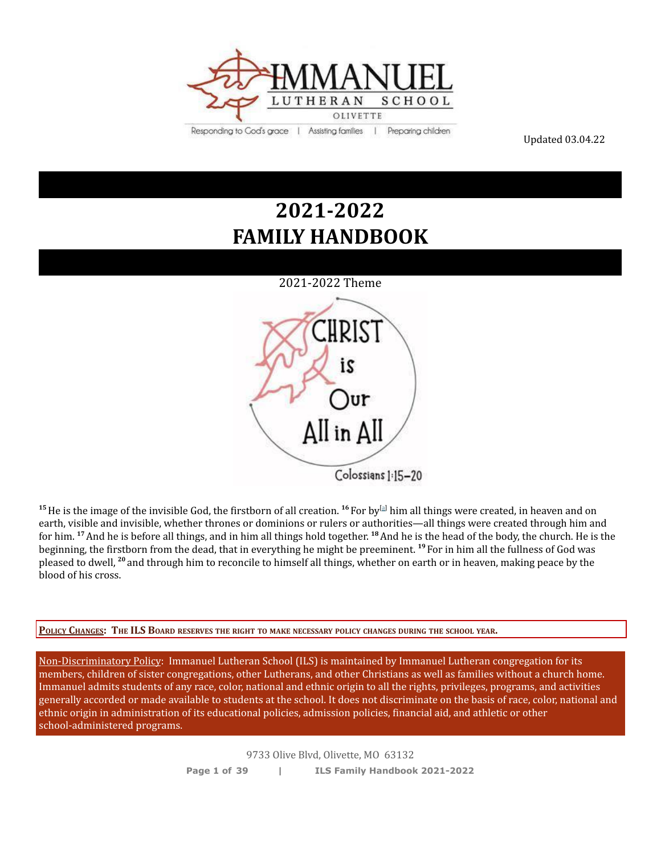

Updated 03.04.22

# **2021-2022 FAMILY HANDBOOK**



**<sup>15</sup>**He is the image of the invisible God, the firstborn of all creation. **<sup>16</sup>** For by [[a\]](https://www.biblegateway.com/passage/?search=Colossians%201%3A15-20&version=ESV#fen-ESV-29465a) him all things were created, in heaven and on earth, visible and invisible, whether thrones or dominions or rulers or authorities—all things were created through him and for him. **<sup>17</sup>**And he is before all things, and in him all things hold together. **<sup>18</sup>**And he is the head of the body, the church. He is the beginning, the firstborn from the dead, that in everything he might be preeminent. **<sup>19</sup>** For in him all the fullness of God was pleased to dwell, **<sup>20</sup>** and through him to reconcile to himself all things, whether on earth or in heaven, making peace by the blood of his cross.

POLICY CHANGES: THE ILS BOARD RESERVES THE RIGHT TO MAKE NECESSARY POLICY CHANGES DURING THE SCHOOL YEAR.

Non-Discriminatory Policy: Immanuel Lutheran School (ILS) is maintained by Immanuel Lutheran congregation for its members, children of sister congregations, other Lutherans, and other Christians as well as families without a church home. Immanuel admits students of any race, color, national and ethnic origin to all the rights, privileges, programs, and activities generally accorded or made available to students at the school. It does not discriminate on the basis of race, color, national and ethnic origin in administration of its educational policies, admission policies, financial aid, and athletic or other school-administered programs.

> 9733 Olive Blvd, Olivette, MO 63132 **Page 1 of 39 | ILS Family Handbook 2021-2022**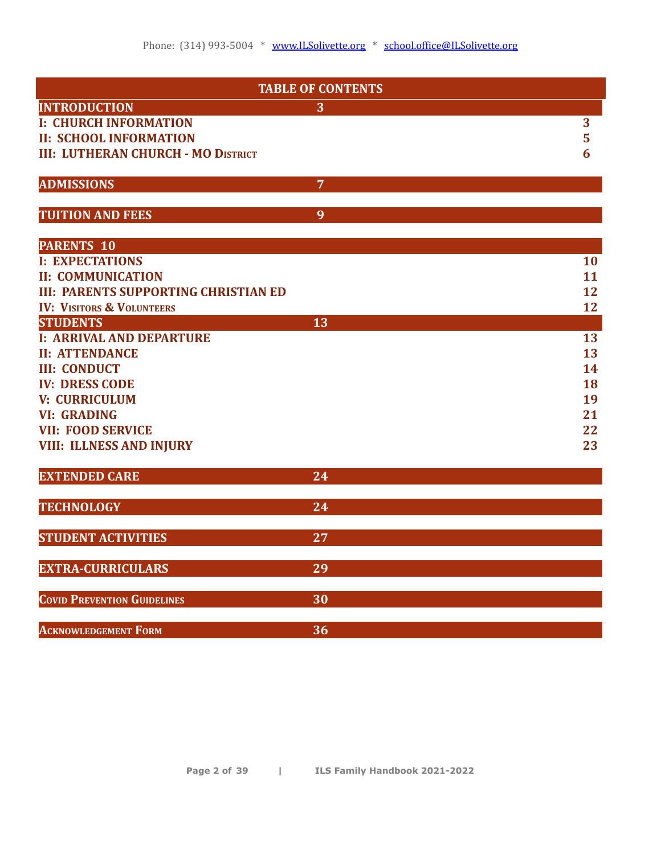| <b>TABLE OF CONTENTS</b>                    |                |                 |  |  |
|---------------------------------------------|----------------|-----------------|--|--|
| <b>INTRODUCTION</b>                         | 3              |                 |  |  |
| <b>I: CHURCH INFORMATION</b>                |                | 3               |  |  |
| <b>II: SCHOOL INFORMATION</b>               |                | 5               |  |  |
| <b>III: LUTHERAN CHURCH - MO DISTRICT</b>   |                | $6\phantom{1}6$ |  |  |
|                                             |                |                 |  |  |
| <b>ADMISSIONS</b>                           | $\overline{7}$ |                 |  |  |
|                                             |                |                 |  |  |
| <b>TUITION AND FEES</b>                     | 9              |                 |  |  |
| <b>PARENTS 10</b>                           |                |                 |  |  |
| <b>I: EXPECTATIONS</b>                      |                | 10              |  |  |
| <b>II: COMMUNICATION</b>                    |                | 11              |  |  |
| <b>III: PARENTS SUPPORTING CHRISTIAN ED</b> |                | 12              |  |  |
| <b>IV: VISITORS &amp; VOLUNTEERS</b>        |                | 12              |  |  |
| <b>STUDENTS</b>                             | 13             |                 |  |  |
| <b>I: ARRIVAL AND DEPARTURE</b>             |                | 13              |  |  |
| <b>II: ATTENDANCE</b>                       |                | 13              |  |  |
| <b>III: CONDUCT</b>                         |                | 14              |  |  |
| <b>IV: DRESS CODE</b>                       |                | 18              |  |  |
| <b>V: CURRICULUM</b>                        |                | 19              |  |  |
| <b>VI: GRADING</b>                          |                | 21              |  |  |
| <b>VII: FOOD SERVICE</b>                    |                | 22              |  |  |
| <b>VIII: ILLNESS AND INJURY</b>             |                | 23              |  |  |
| <b>EXTENDED CARE</b>                        | 24             |                 |  |  |
|                                             |                |                 |  |  |
| <b>TECHNOLOGY</b>                           | 24             |                 |  |  |
| <b>STUDENT ACTIVITIES</b>                   | 27             |                 |  |  |
|                                             |                |                 |  |  |
| <b>EXTRA-CURRICULARS</b>                    | 29             |                 |  |  |
| <b>COVID PREVENTION GUIDELINES</b>          | 30             |                 |  |  |
| <b>ACKNOWLEDGEMENT FORM</b>                 | 36             |                 |  |  |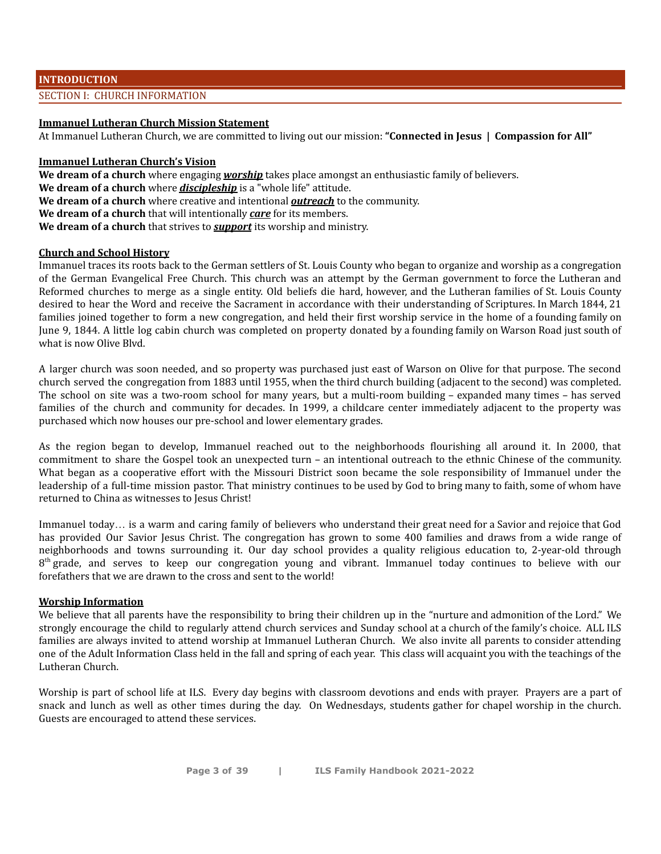#### **INTRODUCTION**

#### SECTION I: CHURCH INFORMATION

#### **Immanuel Lutheran Church Mission Statement**

At Immanuel Lutheran Church, we are committed to living out our mission: **"Connected in Jesus | Compassion for All"**

#### **Immanuel Lutheran Church's Vision**

**We dream of a church** where engaging *worship* takes place amongst an enthusiastic family of believers. **We dream of a church** where *discipleship* is a "whole life" attitude. **We dream of a church** where creative and intentional *outreach* to the community. **We dream of a church** that will intentionally *care* for its members. **We dream of a church** that strives to *support* its worship and ministry.

#### **Church and School History**

Immanuel traces its roots back to the German settlers of St. Louis County who began to organize and worship as a congregation of the German Evangelical Free Church. This church was an attempt by the German government to force the Lutheran and Reformed churches to merge as a single entity. Old beliefs die hard, however, and the Lutheran families of St. Louis County desired to hear the Word and receive the Sacrament in accordance with their understanding of Scriptures. In March 1844, 21 families joined together to form a new congregation, and held their first worship service in the home of a founding family on June 9, 1844. A little log cabin church was completed on property donated by a founding family on Warson Road just south of what is now Olive Blvd.

A larger church was soon needed, and so property was purchased just east of Warson on Olive for that purpose. The second church served the congregation from 1883 until 1955, when the third church building (adjacent to the second) was completed. The school on site was a two-room school for many years, but a multi-room building – expanded many times – has served families of the church and community for decades. In 1999, a childcare center immediately adjacent to the property was purchased which now houses our pre-school and lower elementary grades.

As the region began to develop, Immanuel reached out to the neighborhoods flourishing all around it. In 2000, that commitment to share the Gospel took an unexpected turn – an intentional outreach to the ethnic Chinese of the community. What began as a cooperative effort with the Missouri District soon became the sole responsibility of Immanuel under the leadership of a full-time mission pastor. That ministry continues to be used by God to bring many to faith, some of whom have returned to China as witnesses to Jesus Christ!

Immanuel today… is a warm and caring family of believers who understand their great need for a Savior and rejoice that God has provided Our Savior Jesus Christ. The congregation has grown to some 400 families and draws from a wide range of neighborhoods and towns surrounding it. Our day school provides a quality religious education to, 2-year-old through 8<sup>th</sup> grade, and serves to keep our congregation young and vibrant. Immanuel today continues to believe with our forefathers that we are drawn to the cross and sent to the world!

#### **Worship Information**

We believe that all parents have the responsibility to bring their children up in the "nurture and admonition of the Lord." We strongly encourage the child to regularly attend church services and Sunday school at a church of the family's choice. ALL ILS families are always invited to attend worship at Immanuel Lutheran Church. We also invite all parents to consider attending one of the Adult Information Class held in the fall and spring of each year. This class will acquaint you with the teachings of the Lutheran Church.

Worship is part of school life at ILS. Every day begins with classroom devotions and ends with prayer. Prayers are a part of snack and lunch as well as other times during the day. On Wednesdays, students gather for chapel worship in the church. Guests are encouraged to attend these services.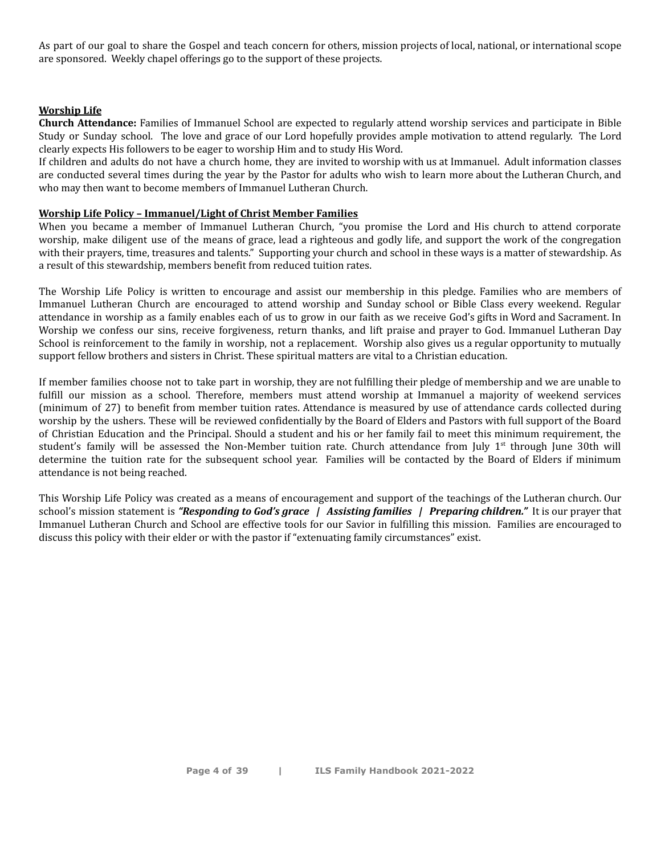As part of our goal to share the Gospel and teach concern for others, mission projects of local, national, or international scope are sponsored. Weekly chapel offerings go to the support of these projects.

#### **Worship Life**

**Church Attendance:** Families of Immanuel School are expected to regularly attend worship services and participate in Bible Study or Sunday school. The love and grace of our Lord hopefully provides ample motivation to attend regularly. The Lord clearly expects His followers to be eager to worship Him and to study His Word.

If children and adults do not have a church home, they are invited to worship with us at Immanuel. Adult information classes are conducted several times during the year by the Pastor for adults who wish to learn more about the Lutheran Church, and who may then want to become members of Immanuel Lutheran Church.

#### **Worship Life Policy – Immanuel/Light of Christ Member Families**

When you became a member of Immanuel Lutheran Church, "you promise the Lord and His church to attend corporate worship, make diligent use of the means of grace, lead a righteous and godly life, and support the work of the congregation with their prayers, time, treasures and talents." Supporting your church and school in these ways is a matter of stewardship. As a result of this stewardship, members benefit from reduced tuition rates.

The Worship Life Policy is written to encourage and assist our membership in this pledge. Families who are members of Immanuel Lutheran Church are encouraged to attend worship and Sunday school or Bible Class every weekend. Regular attendance in worship as a family enables each of us to grow in our faith as we receive God's gifts in Word and Sacrament. In Worship we confess our sins, receive forgiveness, return thanks, and lift praise and prayer to God. Immanuel Lutheran Day School is reinforcement to the family in worship, not a replacement. Worship also gives us a regular opportunity to mutually support fellow brothers and sisters in Christ. These spiritual matters are vital to a Christian education.

If member families choose not to take part in worship, they are not fulfilling their pledge of membership and we are unable to fulfill our mission as a school. Therefore, members must attend worship at Immanuel a majority of weekend services (minimum of 27) to benefit from member tuition rates. Attendance is measured by use of attendance cards collected during worship by the ushers. These will be reviewed confidentially by the Board of Elders and Pastors with full support of the Board of Christian Education and the Principal. Should a student and his or her family fail to meet this minimum requirement, the student's family will be assessed the Non-Member tuition rate. Church attendance from July 1<sup>st</sup> through June 30th will determine the tuition rate for the subsequent school year. Families will be contacted by the Board of Elders if minimum attendance is not being reached.

This Worship Life Policy was created as a means of encouragement and support of the teachings of the Lutheran church. Our school's mission statement is *"Responding to God's grace | Assisting families | Preparing children."* It is our prayer that Immanuel Lutheran Church and School are effective tools for our Savior in fulfilling this mission. Families are encouraged to discuss this policy with their elder or with the pastor if "extenuating family circumstances" exist.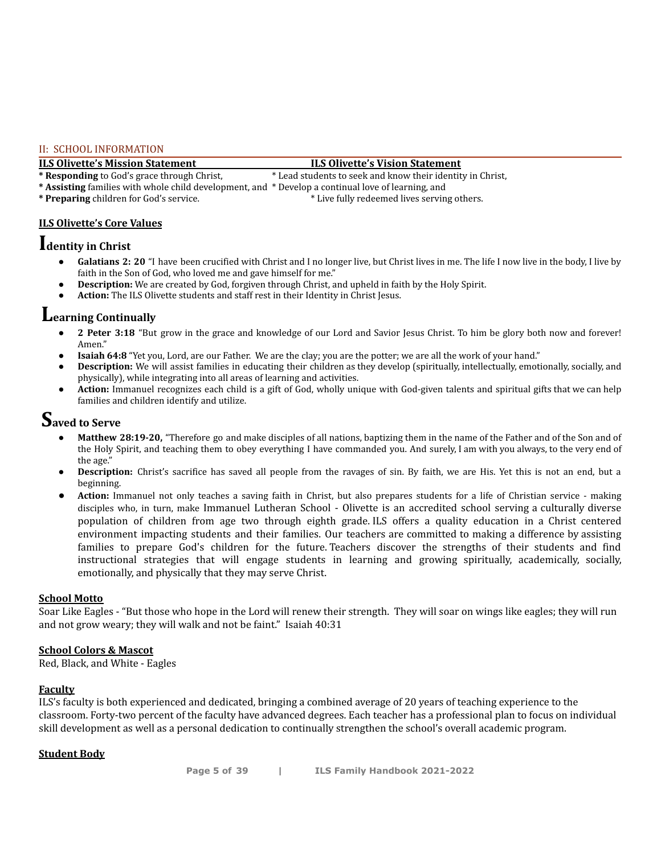#### II: SCHOOL INFORMATION

**ILS Olivette's Mission Statement ILS Olivette's Vision Statement** \* Lead students to seek and know their identity in Christ,

**\* Assisting** families with whole child development, and \* Develop a continual love of learning, and

\* **Preparing** children for God's service. \* \* Live fully redeemed lives serving others.

#### **ILS Olivette's Core Values**

## **Identity in Christ**

- **● Galatians 2: 20** "I have been crucified with Christ and I no longer live, but Christ lives in me. The life I now live in the body, I live by faith in the Son of God, who loved me and gave himself for me."
- **Description:** We are created by God, forgiven through Christ, and upheld in faith by the Holy Spirit.
- **● Action:** The ILS Olivette students and staff rest in their Identity in Christ Jesus.

### **Learning Continually**

- **● 2 Peter 3:18** "But grow in the grace and knowledge of our Lord and Savior Jesus Christ. To him be glory both now and forever! Amen."
- **Isaiah 64:8** "Yet you, Lord, are our Father. We are the clay; you are the potter; we are all the work of your hand."
- **Description:** We will assist families in educating their children as they develop (spiritually, intellectually, emotionally, socially, and physically), while integrating into all areas of learning and activities.
- **● Action:** Immanuel recognizes each child is a gift of God, wholly unique with God-given talents and spiritual gifts that we can help families and children identify and utilize.

## **Saved to Serve**

- **Matthew 28:19-20,** "Therefore go and make disciples of all nations, baptizing them in the name of the Father and of the Son and of the Holy Spirit, and teaching them to obey everything I have commanded you. And surely, I am with you always, to the very end of the age."
- **Description:** Christ's sacrifice has saved all people from the ravages of sin. By faith, we are His. Yet this is not an end, but a beginning.
- Action: Immanuel not only teaches a saving faith in Christ, but also prepares students for a life of Christian service making disciples who, in turn, make Immanuel Lutheran School - Olivette is an accredited school serving a culturally diverse population of children from age two through eighth grade. ILS offers a quality education in a Christ centered environment impacting students and their families. Our teachers are committed to making a difference by assisting families to prepare God's children for the future. Teachers discover the strengths of their students and find instructional strategies that will engage students in learning and growing spiritually, academically, socially, emotionally, and physically that they may serve Christ.

#### **School Motto**

Soar Like Eagles - "But those who hope in the Lord will renew their strength. They will soar on wings like eagles; they will run and not grow weary; they will walk and not be faint." Isaiah 40:31

#### **School Colors & Mascot**

Red, Black, and White - Eagles

#### **Faculty**

ILS's faculty is both experienced and dedicated, bringing a combined average of 20 years of teaching experience to the classroom. Forty-two percent of the faculty have advanced degrees. Each teacher has a professional plan to focus on individual skill development as well as a personal dedication to continually strengthen the school's overall academic program.

#### **Student Body**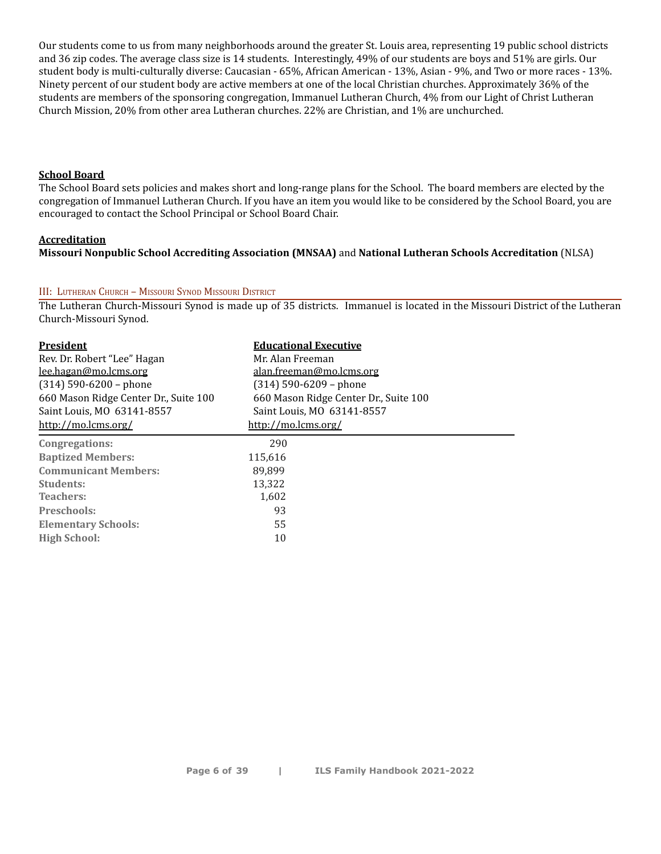Our students come to us from many neighborhoods around the greater St. Louis area, representing 19 public school districts and 36 zip codes. The average class size is 14 students. Interestingly, 49% of our students are boys and 51% are girls. Our student body is multi-culturally diverse: Caucasian - 65%, African American - 13%, Asian - 9%, and Two or more races - 13%. Ninety percent of our student body are active members at one of the local Christian churches. Approximately 36% of the students are members of the sponsoring congregation, Immanuel Lutheran Church, 4% from our Light of Christ Lutheran Church Mission, 20% from other area Lutheran churches. 22% are Christian, and 1% are unchurched.

#### **School Board**

The School Board sets policies and makes short and long-range plans for the School. The board members are elected by the congregation of Immanuel Lutheran Church. If you have an item you would like to be considered by the School Board, you are encouraged to contact the School Principal or School Board Chair.

#### **Accreditation**

#### **Missouri Nonpublic School Accrediting Association (MNSAA)** and **National Lutheran Schools Accreditation** (NLSA)

#### III: LUTHERAN CHURCH – MISSOURI SYNOD MISSOURI DISTRICT

The Lutheran Church-Missouri Synod is made up of 35 districts. Immanuel is located in the Missouri District of the Lutheran Church-Missouri Synod.

| <b>President</b>                      | <b>Educational Executive</b>          |
|---------------------------------------|---------------------------------------|
| Rev. Dr. Robert "Lee" Hagan           | Mr. Alan Freeman                      |
| lee.hagan@mo.lcms.org                 | alan.freeman@mo.lcms.org              |
| $(314)$ 590-6200 - phone              | $(314)$ 590-6209 - phone              |
| 660 Mason Ridge Center Dr., Suite 100 | 660 Mason Ridge Center Dr., Suite 100 |
| Saint Louis, MO 63141-8557            | Saint Louis, MO 63141-8557            |
| http://mo.lcms.org/                   | http://mo.lcms.org/                   |
| Congregations:                        | 290                                   |
| <b>Baptized Members:</b>              | 115,616                               |
| <b>Communicant Members:</b>           | 89.899                                |
| Students:                             | 13.322                                |
| Teachers:                             | 1,602                                 |
| Preschools:                           | 93                                    |
| <b>Elementary Schools:</b>            | 55                                    |
| <b>High School:</b>                   | 10                                    |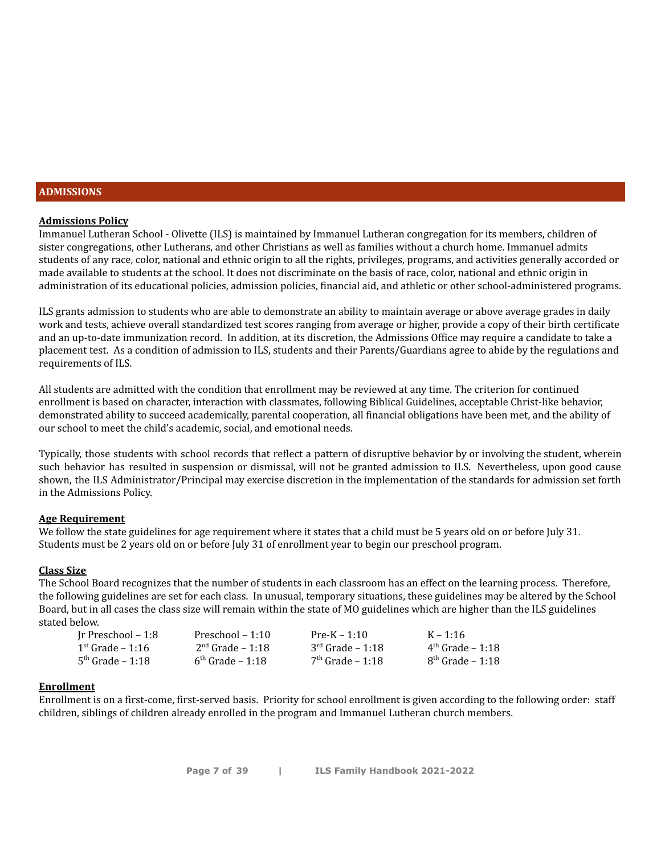#### **ADMISSIONS**

#### **Admissions Policy**

Immanuel Lutheran School - Olivette (ILS) is maintained by Immanuel Lutheran congregation for its members, children of sister congregations, other Lutherans, and other Christians as well as families without a church home. Immanuel admits students of any race, color, national and ethnic origin to all the rights, privileges, programs, and activities generally accorded or made available to students at the school. It does not discriminate on the basis of race, color, national and ethnic origin in administration of its educational policies, admission policies, financial aid, and athletic or other school-administered programs.

ILS grants admission to students who are able to demonstrate an ability to maintain average or above average grades in daily work and tests, achieve overall standardized test scores ranging from average or higher, provide a copy of their birth certificate and an up-to-date immunization record. In addition, at its discretion, the Admissions Office may require a candidate to take a placement test. As a condition of admission to ILS, students and their Parents/Guardians agree to abide by the regulations and requirements of ILS.

All students are admitted with the condition that enrollment may be reviewed at any time. The criterion for continued enrollment is based on character, interaction with classmates, following Biblical Guidelines, acceptable Christ-like behavior, demonstrated ability to succeed academically, parental cooperation, all financial obligations have been met, and the ability of our school to meet the child's academic, social, and emotional needs.

Typically, those students with school records that reflect a pattern of disruptive behavior by or involving the student, wherein such behavior has resulted in suspension or dismissal, will not be granted admission to ILS. Nevertheless, upon good cause shown, the ILS Administrator/Principal may exercise discretion in the implementation of the standards for admission set forth in the Admissions Policy.

#### **Age Requirement**

We follow the state guidelines for age requirement where it states that a child must be 5 years old on or before July 31. Students must be 2 years old on or before July 31 of enrollment year to begin our preschool program.

#### **Class Size**

The School Board recognizes that the number of students in each classroom has an effect on the learning process. Therefore, the following guidelines are set for each class. In unusual, temporary situations, these guidelines may be altered by the School Board, but in all cases the class size will remain within the state of MO guidelines which are higher than the ILS guidelines stated below.

| Ir Preschool – 1:8        | Preschool $-1:10$  | $Pre-K - 1:10$     | $K - 1:16$            |
|---------------------------|--------------------|--------------------|-----------------------|
| $1^{\rm st}$ Grade – 1:16 | $2nd$ Grade – 1:18 | $3rd$ Grade – 1:18 | $4^{th}$ Grade – 1:18 |
| $5th$ Grade – 1:18        | $6th$ Grade – 1:18 | $7th$ Grade – 1:18 | $8th$ Grade – 1:18    |

#### **Enrollment**

Enrollment is on a first-come, first-served basis. Priority for school enrollment is given according to the following order: staff children, siblings of children already enrolled in the program and Immanuel Lutheran church members.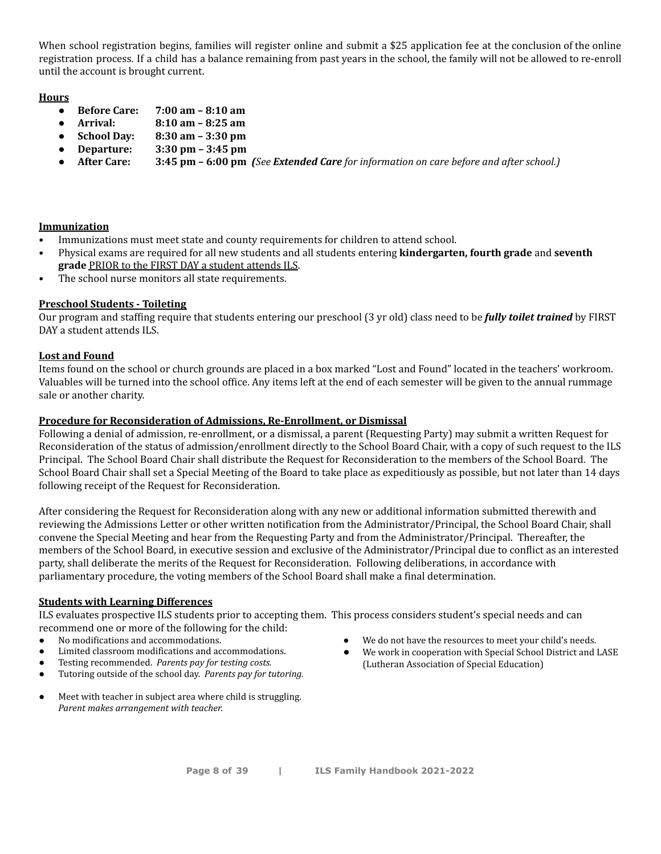When school registration begins, families will register online and submit a \$25 application fee at the conclusion of the online registration process. If a child has a balance remaining from past years in the school, the family will not be allowed to re-enroll until the account is brought current.

#### **Hours**

- **Before Care: 7:00 am – 8:10 am**
- **Arrival: 8:10 am – 8:25 am**
- **School Day: 8:30 am – 3:30 pm**
- **Departure: 3:30 pm – 3:45 pm**
- **After Care:** 3:45 pm 6:00 pm (See Extended Care for information on care before and after school.)

#### **Immunization**

- Immunizations must meet state and county requirements for children to attend school.
- Physical exams are required for all new students and all students entering **kindergarten, fourth grade** and **seventh grade** PRIOR to the FIRST DAY a student attends ILS.
- The school nurse monitors all state requirements.

#### **Preschool Students - Toileting**

Our program and staffing require that students entering our preschool (3 yr old) class need to be *fully toilet trained* by FIRST DAY a student attends ILS.

#### **Lost and Found**

Items found on the school or church grounds are placed in a box marked "Lost and Found" located in the teachers' workroom. Valuables will be turned into the school office. Any items left at the end of each semester will be given to the annual rummage sale or another charity.

#### **Procedure for Reconsideration of Admissions, Re-Enrollment, or Dismissal**

Following a denial of admission, re-enrollment, or a dismissal, a parent (Requesting Party) may submit a written Request for Reconsideration of the status of admission/enrollment directly to the School Board Chair, with a copy of such request to the ILS Principal. The School Board Chair shall distribute the Request for Reconsideration to the members of the School Board. The School Board Chair shall set a Special Meeting of the Board to take place as expeditiously as possible, but not later than 14 days following receipt of the Request for Reconsideration.

After considering the Request for Reconsideration along with any new or additional information submitted therewith and reviewing the Admissions Letter or other written notification from the Administrator/Principal, the School Board Chair, shall convene the Special Meeting and hear from the Requesting Party and from the Administrator/Principal. Thereafter, the members of the School Board, in executive session and exclusive of the Administrator/Principal due to conflict as an interested party, shall deliberate the merits of the Request for Reconsideration. Following deliberations, in accordance with parliamentary procedure, the voting members of the School Board shall make a final determination.

#### **Students with Learning Differences**

ILS evaluates prospective ILS students prior to accepting them. This process considers student's special needs and can recommend one or more of the following for the child:

- No modifications and accommodations.
- Limited classroom modifications and accommodations.
- Testing recommended. *Parents pay for testing costs.*
- Tutoring outside of the school day. *Parents pay for tutoring.*
- Meet with teacher in subject area where child is struggling. *Parent makes arrangement with teacher.*
- We do not have the resources to meet your child's needs.
- We work in cooperation with Special School District and LASE (Lutheran Association of Special Education)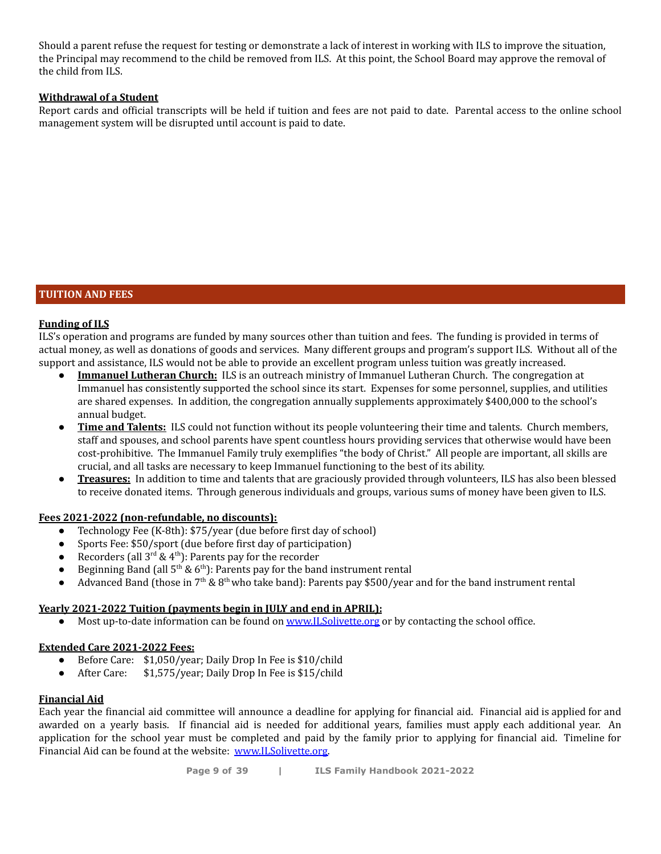Should a parent refuse the request for testing or demonstrate a lack of interest in working with ILS to improve the situation, the Principal may recommend to the child be removed from ILS. At this point, the School Board may approve the removal of the child from ILS.

#### **Withdrawal of a Student**

Report cards and official transcripts will be held if tuition and fees are not paid to date. Parental access to the online school management system will be disrupted until account is paid to date.

#### **TUITION AND FEES**

#### **Funding of ILS**

ILS's operation and programs are funded by many sources other than tuition and fees. The funding is provided in terms of actual money, as well as donations of goods and services. Many different groups and program's support ILS. Without all of the support and assistance, ILS would not be able to provide an excellent program unless tuition was greatly increased.

- **Immanuel Lutheran Church:** ILS is an outreach ministry of Immanuel Lutheran Church. The congregation at Immanuel has consistently supported the school since its start. Expenses for some personnel, supplies, and utilities are shared expenses. In addition, the congregation annually supplements approximately \$400,000 to the school's annual budget.
- **Time and Talents:** ILS could not function without its people volunteering their time and talents. Church members, staff and spouses, and school parents have spent countless hours providing services that otherwise would have been cost-prohibitive. The Immanuel Family truly exemplifies "the body of Christ." All people are important, all skills are crucial, and all tasks are necessary to keep Immanuel functioning to the best of its ability.
- **Treasures:** In addition to time and talents that are graciously provided through volunteers, ILS has also been blessed to receive donated items. Through generous individuals and groups, various sums of money have been given to ILS.

#### **Fees 2021-2022 (non-refundable, no discounts):**

- Technology Fee (K-8th): \$75/year (due before first day of school)
- Sports Fee: \$50/sport (due before first day of participation)
- Recorders (all  $3^{rd}$  & 4<sup>th</sup>): Parents pay for the recorder
- Beginning Band (all  $5<sup>th</sup>$  &  $6<sup>th</sup>$ ): Parents pay for the band instrument rental
- Advanced Band (those in 7<sup>th</sup> & 8<sup>th</sup> who take band): Parents pay \$500/year and for the band instrument rental

#### **Yearly 2021-2022 Tuition (payments begin in JULY and end in APRIL):**

• Most up-to-date information can be found on [www.ILSolivette.org](http://www.ilsolivette.org) or by contacting the school office.

#### **Extended Care 2021-2022 Fees:**

- Before Care: \$1,050/year; Daily Drop In Fee is \$10/child
- After Care: \$1,575/year; Daily Drop In Fee is \$15/child

#### **Financial Aid**

Each year the financial aid committee will announce a deadline for applying for financial aid. Financial aid is applied for and awarded on a yearly basis. If financial aid is needed for additional years, families must apply each additional year. An application for the school year must be completed and paid by the family prior to applying for financial aid. Timeline for Financial Aid can be found at the website: [www.ILSolivette.org.](http://www.ilsolivette.org)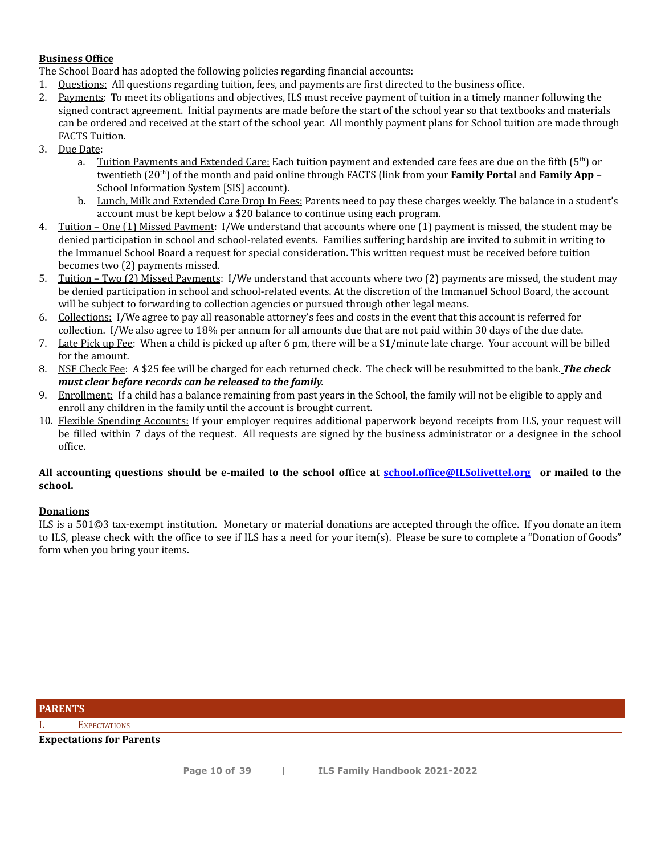#### **Business Office**

The School Board has adopted the following policies regarding financial accounts:

- 1. Questions: All questions regarding tuition, fees, and payments are first directed to the business office.
- 2. Payments: To meet its obligations and objectives, ILS must receive payment of tuition in a timely manner following the signed contract agreement. Initial payments are made before the start of the school year so that textbooks and materials can be ordered and received at the start of the school year. All monthly payment plans for School tuition are made through FACTS Tuition.
- 3. Due Date:
	- a. Tuition Payments and Extended Care: Each tuition payment and extended care fees are due on the fifth (5<sup>th</sup>) or twentieth (20<sup>th</sup>) of the month and paid online through FACTS (link from your **Family Portal** and **Family App** – School Information System [SIS] account).
	- b. Lunch, Milk and Extended Care Drop In Fees: Parents need to pay these charges weekly. The balance in a student's account must be kept below a \$20 balance to continue using each program.
- 4. Tuition One (1) Missed Payment: I/We understand that accounts where one (1) payment is missed, the student may be denied participation in school and school-related events. Families suffering hardship are invited to submit in writing to the Immanuel School Board a request for special consideration. This written request must be received before tuition becomes two (2) payments missed.
- 5. Tuition Two (2) Missed Payments: I/We understand that accounts where two (2) payments are missed, the student may be denied participation in school and school-related events. At the discretion of the Immanuel School Board, the account will be subject to forwarding to collection agencies or pursued through other legal means.
- 6. Collections: I/We agree to pay all reasonable attorney's fees and costs in the event that this account is referred for collection. I/We also agree to 18% per annum for all amounts due that are not paid within 30 days of the due date.
- 7. Late Pick up Fee: When a child is picked up after 6 pm, there will be a \$1/minute late charge. Your account will be billed for the amount.
- 8. NSF Check Fee: A \$25 fee will be charged for each returned check. The check will be resubmitted to the bank. *The check must clear before records can be released to the family.*
- 9. Enrollment: If a child has a balance remaining from past years in the School, the family will not be eligible to apply and enroll any children in the family until the account is brought current.
- 10. Flexible Spending Accounts: If your employer requires additional paperwork beyond receipts from ILS, your request will be filled within 7 days of the request. All requests are signed by the business administrator or a designee in the school office.

#### All accounting questions should be e-mailed to the school office at [school.office@ILSolivettel.org](mailto:school.office@ImmanuelDaySchool.org) or mailed to the **school.**

#### **Donations**

ILS is a 501©3 tax-exempt institution. Monetary or material donations are accepted through the office. If you donate an item to ILS, please check with the office to see if ILS has a need for your item(s). Please be sure to complete a "Donation of Goods" form when you bring your items.

**PARENTS**

I. EXPECTATIONS

**Expectations for Parents**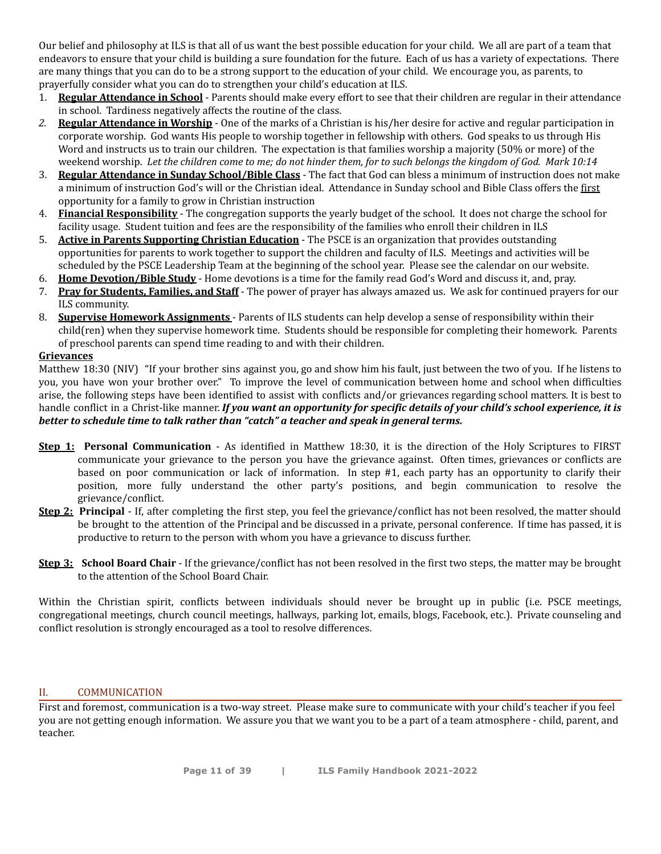Our belief and philosophy at ILS is that all of us want the best possible education for your child. We all are part of a team that endeavors to ensure that your child is building a sure foundation for the future. Each of us has a variety of expectations. There are many things that you can do to be a strong support to the education of your child. We encourage you, as parents, to prayerfully consider what you can do to strengthen your child's education at ILS.

- 1. **Regular Attendance in School** Parents should make every effort to see that their children are regular in their attendance in school. Tardiness negatively affects the routine of the class.
- *2.* **Regular Attendance in Worship** One of the marks of a Christian is his/her desire for active and regular participation in corporate worship. God wants His people to worship together in fellowship with others. God speaks to us through His Word and instructs us to train our children. The expectation is that families worship a majority (50% or more) of the weekend worship. Let the children come to me; do not hinder them, for to such belongs the kingdom of God. Mark 10:14
- 3. **Regular Attendance in Sunday School/Bible Class** The fact that God can bless a minimum of instruction does not make a minimum of instruction God's will or the Christian ideal. Attendance in Sunday school and Bible Class offers the first opportunity for a family to grow in Christian instruction
- 4. **Financial Responsibility** The congregation supports the yearly budget of the school. It does not charge the school for facility usage. Student tuition and fees are the responsibility of the families who enroll their children in ILS
- 5. **Active in Parents Supporting Christian Education** The PSCE is an organization that provides outstanding opportunities for parents to work together to support the children and faculty of ILS. Meetings and activities will be scheduled by the PSCE Leadership Team at the beginning of the school year. Please see the calendar on our website.
- 6. **Home Devotion/Bible Study** Home devotions is a time for the family read God's Word and discuss it, and, pray.
- 7. **Pray for Students, Families, and Staff** The power of prayer has always amazed us. We ask for continued prayers for our ILS community.
- 8. **Supervise Homework Assignments** Parents of ILS students can help develop a sense of responsibility within their child(ren) when they supervise homework time. Students should be responsible for completing their homework. Parents of preschool parents can spend time reading to and with their children.

#### **Grievances**

Matthew 18:30 (NIV) "If your brother sins against you, go and show him his fault, just between the two of you. If he listens to you, you have won your brother over." To improve the level of communication between home and school when difficulties arise, the following steps have been identified to assist with conflicts and/or grievances regarding school matters*.* It is best to handle conflict in a Christ-like manner. If you want an opportunity for specific details of your child's school experience, it is *better to schedule time to talk rather than "catch" a teacher and speak in general terms.*

- **Step 1: Personal Communication** As identified in Matthew 18:30, it is the direction of the Holy Scriptures to FIRST communicate your grievance to the person you have the grievance against. Often times, grievances or conflicts are based on poor communication or lack of information. In step #1, each party has an opportunity to clarify their position, more fully understand the other party's positions, and begin communication to resolve the grievance/conflict.
- **Step 2: Principal** If, after completing the first step, you feel the grievance/conflict has not been resolved, the matter should be brought to the attention of the Principal and be discussed in a private, personal conference. If time has passed, it is productive to return to the person with whom you have a grievance to discuss further.
- **Step 3: School Board Chair** If the grievance/conflict has not been resolved in the first two steps, the matter may be brought to the attention of the School Board Chair.

Within the Christian spirit, conflicts between individuals should never be brought up in public (i.e. PSCE meetings, congregational meetings, church council meetings, hallways, parking lot, emails, blogs, Facebook, etc.). Private counseling and conflict resolution is strongly encouraged as a tool to resolve differences.

#### II. COMMUNICATION

First and foremost, communication is a two-way street. Please make sure to communicate with your child's teacher if you feel you are not getting enough information. We assure you that we want you to be a part of a team atmosphere - child, parent, and teacher.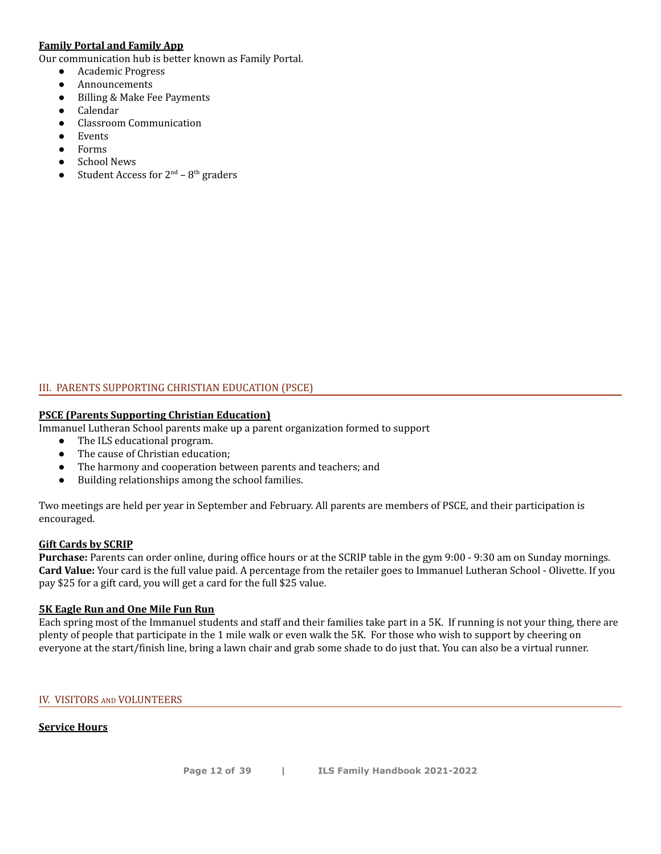#### **Family Portal and Family App**

Our communication hub is better known as Family Portal.

- Academic Progress
- Announcements
- Billing & Make Fee Payments
- Calendar
- Classroom Communication
- **Events**
- **Forms**
- **School News**
- Student Access for  $2^{nd}$   $8^{th}$  graders

### III. PARENTS SUPPORTING CHRISTIAN EDUCATION (PSCE)

### **PSCE (Parents Supporting Christian Education)**

Immanuel Lutheran School parents make up a parent organization formed to support

- The ILS educational program.
- The cause of Christian education:
- The harmony and cooperation between parents and teachers; and
- Building relationships among the school families.

Two meetings are held per year in September and February. All parents are members of PSCE, and their participation is encouraged.

#### **Gift Cards by SCRIP**

**Purchase:** Parents can order online, during office hours or at the SCRIP table in the gym 9:00 - 9:30 am on Sunday mornings. **Card Value:** Your card is the full value paid. A percentage from the retailer goes to Immanuel Lutheran School - Olivette. If you pay \$25 for a gift card, you will get a card for the full \$25 value.

#### **5K Eagle Run and One Mile Fun Run**

Each spring most of the Immanuel students and staff and their families take part in a 5K. If running is not your thing, there are plenty of people that participate in the 1 mile walk or even walk the 5K. For those who wish to support by cheering on everyone at the start/finish line, bring a lawn chair and grab some shade to do just that. You can also be a virtual runner.

#### IV. VISITORS AND VOLUNTEERS

### **Service Hours**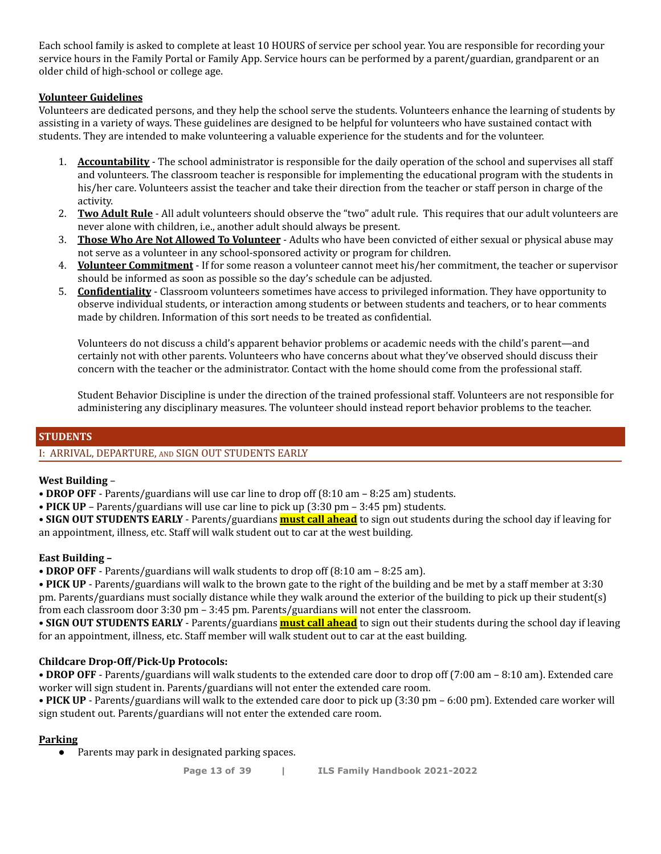Each school family is asked to complete at least 10 HOURS of service per school year. You are responsible for recording your service hours in the Family Portal or Family App. Service hours can be performed by a parent/guardian, grandparent or an older child of high-school or college age.

#### **Volunteer Guidelines**

Volunteers are dedicated persons, and they help the school serve the students. Volunteers enhance the learning of students by assisting in a variety of ways. These guidelines are designed to be helpful for volunteers who have sustained contact with students. They are intended to make volunteering a valuable experience for the students and for the volunteer.

- 1. **Accountability** The school administrator is responsible for the daily operation of the school and supervises all staff and volunteers. The classroom teacher is responsible for implementing the educational program with the students in his/her care. Volunteers assist the teacher and take their direction from the teacher or staff person in charge of the activity.
- 2. **Two Adult Rule** All adult volunteers should observe the "two" adult rule. This requires that our adult volunteers are never alone with children, i.e., another adult should always be present.
- 3. **Those Who Are Not Allowed To Volunteer** Adults who have been convicted of either sexual or physical abuse may not serve as a volunteer in any school-sponsored activity or program for children.
- 4. **Volunteer Commitment** If for some reason a volunteer cannot meet his/her commitment, the teacher or supervisor should be informed as soon as possible so the day's schedule can be adjusted.
- 5. **Confidentiality** Classroom volunteers sometimes have access to privileged information. They have opportunity to observe individual students, or interaction among students or between students and teachers, or to hear comments made by children. Information of this sort needs to be treated as confidential.

Volunteers do not discuss a child's apparent behavior problems or academic needs with the child's parent—and certainly not with other parents. Volunteers who have concerns about what they've observed should discuss their concern with the teacher or the administrator. Contact with the home should come from the professional staff.

Student Behavior Discipline is under the direction of the trained professional staff. Volunteers are not responsible for administering any disciplinary measures. The volunteer should instead report behavior problems to the teacher.

#### **STUDENTS**

#### I: ARRIVAL, DEPARTURE, AND SIGN OUT STUDENTS EARLY

#### **West Building** –

**• DROP OFF** - Parents/guardians will use car line to drop off (8:10 am – 8:25 am) students.

**• PICK UP** – Parents/guardians will use car line to pick up (3:30 pm – 3:45 pm) students.

**• SIGN OUT STUDENTS EARLY** - Parents/guardians **must call ahead** to sign out students during the school day if leaving for an appointment, illness, etc. Staff will walk student out to car at the west building.

#### **East Building –**

**• DROP OFF** - Parents/guardians will walk students to drop off (8:10 am – 8:25 am).

**• PICK UP** - Parents/guardians will walk to the brown gate to the right of the building and be met by a staff member at 3:30 pm. Parents/guardians must socially distance while they walk around the exterior of the building to pick up their student(s) from each classroom door 3:30 pm – 3:45 pm. Parents/guardians will not enter the classroom.

**• SIGN OUT STUDENTS EARLY** - Parents/guardians **must call ahead** to sign out their students during the school day if leaving for an appointment, illness, etc. Staff member will walk student out to car at the east building.

#### **Childcare Drop-Off/Pick-Up Protocols:**

**• DROP OFF** - Parents/guardians will walk students to the extended care door to drop off (7:00 am – 8:10 am). Extended care worker will sign student in. Parents/guardians will not enter the extended care room.

**• PICK UP** - Parents/guardians will walk to the extended care door to pick up (3:30 pm – 6:00 pm). Extended care worker will sign student out. Parents/guardians will not enter the extended care room.

#### **Parking**

● Parents may park in designated parking spaces.

**Page 13 of 39 | ILS Family Handbook 2021-2022**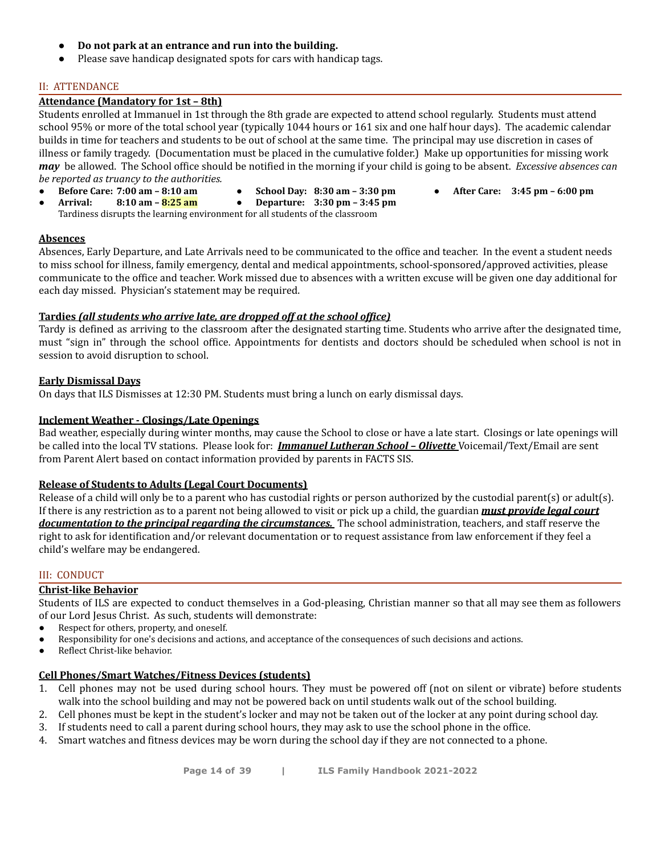- **Do not park at an entrance and run into the building.**
- Please save handicap designated spots for cars with handicap tags.

#### II: ATTENDANCE

#### **Attendance (Mandatory for 1st – 8th)**

Students enrolled at Immanuel in 1st through the 8th grade are expected to attend school regularly. Students must attend school 95% or more of the total school year (typically 1044 hours or 161 six and one half hour days). The academic calendar builds in time for teachers and students to be out of school at the same time. The principal may use discretion in cases of illness or family tragedy. (Documentation must be placed in the cumulative folder.) Make up opportunities for missing work *may* be allowed. The School office should be notified in the morning if your child is going to be absent. *Excessive absences can be reported as truancy to the authorities.*

- **Before Care: 7:00 am 8:10 am**
- **School Day: 8:30 am 3:30 pm**
- **● After Care: 3:45 pm 6:00 pm**
- **Arrival: 8:10 am – 8:25 am** ● **Departure: 3:30 pm – 3:45 pm** Tardiness disrupts the learning environment for all students of the classroom

#### **Absences**

Absences, Early Departure, and Late Arrivals need to be communicated to the office and teacher. In the event a student needs to miss school for illness, family emergency, dental and medical appointments, school-sponsored/approved activities, please communicate to the office and teacher. Work missed due to absences with a written excuse will be given one day additional for each day missed. Physician's statement may be required.

#### **Tardies** *(all students who arrive late, are dropped off at the school office)*

Tardy is defined as arriving to the classroom after the designated starting time. Students who arrive after the designated time, must "sign in" through the school office. Appointments for dentists and doctors should be scheduled when school is not in session to avoid disruption to school.

#### **Early Dismissal Days**

On days that ILS Dismisses at 12:30 PM. Students must bring a lunch on early dismissal days.

#### **Inclement Weather - Closings/Late Openings**

Bad weather, especially during winter months, may cause the School to close or have a late start. Closings or late openings will be called into the local TV stations. Please look for: *Immanuel Lutheran School – Olivette* Voicemail/Text/Email are sent from Parent Alert based on contact information provided by parents in FACTS SIS.

#### **Release of Students to Adults (Legal Court Documents)**

Release of a child will only be to a parent who has custodial rights or person authorized by the custodial parent(s) or adult(s). If there is any restriction as to a parent not being allowed to visit or pick up a child, the guardian *must provide legal court documentation to the principal regarding the circumstances.* The school administration, teachers, and staff reserve the right to ask for identification and/or relevant documentation or to request assistance from law enforcement if they feel a child's welfare may be endangered.

#### III: CONDUCT

#### **Christ-like Behavior**

Students of ILS are expected to conduct themselves in a God-pleasing, Christian manner so that all may see them as followers of our Lord Jesus Christ. As such, students will demonstrate:

- Respect for others, property, and oneself.
- Responsibility for one's decisions and actions, and acceptance of the consequences of such decisions and actions.
- Reflect Christ-like behavior.

#### **Cell Phones/Smart Watches/Fitness Devices (students)**

- 1. Cell phones may not be used during school hours. They must be powered off (not on silent or vibrate) before students walk into the school building and may not be powered back on until students walk out of the school building.
- 2. Cell phones must be kept in the student's locker and may not be taken out of the locker at any point during school day.
- 3. If students need to call a parent during school hours, they may ask to use the school phone in the office.
- 4. Smart watches and fitness devices may be worn during the school day if they are not connected to a phone.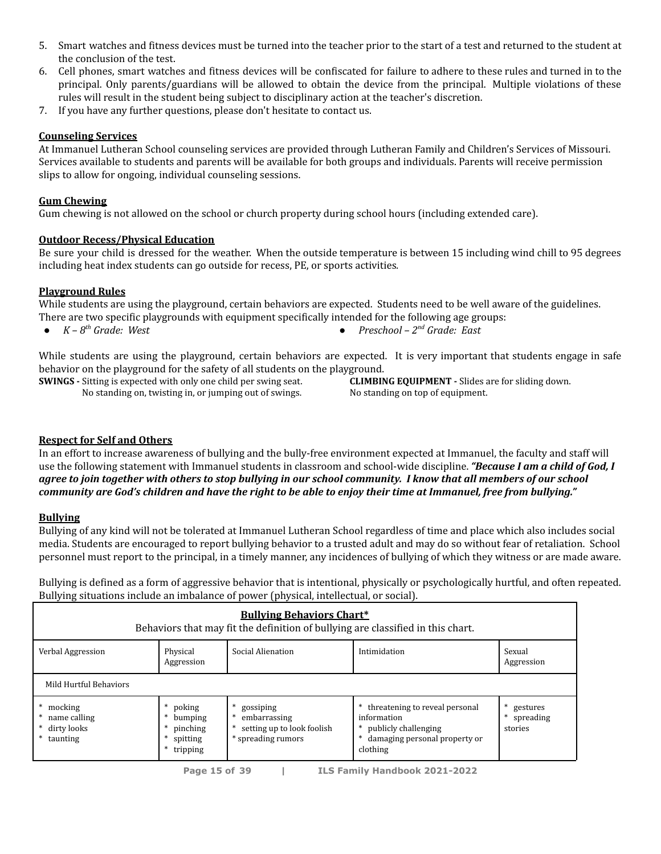- 5. Smart watches and fitness devices must be turned into the teacher prior to the start of a test and returned to the student at the conclusion of the test.
- 6. Cell phones, smart watches and fitness devices will be confiscated for failure to adhere to these rules and turned in to the principal. Only parents/guardians will be allowed to obtain the device from the principal. Multiple violations of these rules will result in the student being subject to disciplinary action at the teacher's discretion.
- 7. If you have any further questions, please don't hesitate to contact us.

#### **Counseling Services**

At Immanuel Lutheran School counseling services are provided through Lutheran Family and Children's Services of Missouri. Services available to students and parents will be available for both groups and individuals. Parents will receive permission slips to allow for ongoing, individual counseling sessions.

#### **Gum Chewing**

Gum chewing is not allowed on the school or church property during school hours (including extended care).

#### **Outdoor Recess/Physical Education**

Be sure your child is dressed for the weather. When the outside temperature is between 15 including wind chill to 95 degrees including heat index students can go outside for recess, PE, or sports activities*.*

#### **Playground Rules**

While students are using the playground, certain behaviors are expected. Students need to be well aware of the guidelines. There are two specific playgrounds with equipment specifically intended for the following age groups:

- $\bullet$  *K*  $8^{th}$  *Grade: West*
- *th Grade: West ● Preschool – 2 nd Grade: East*

While students are using the playground, certain behaviors are expected. It is very important that students engage in safe behavior on the playground for the safety of all students on the playground.

**SWINGS -** Sitting is expected with only one child per swing seat.

No standing on, twisting in, or jumping out of swings.

**CLIMBING EQUIPMENT -** Slides are for sliding down. No standing on top of equipment.

#### **Respect for Self and Others**

In an effort to increase awareness of bullying and the bully-free environment expected at Immanuel, the faculty and staff will use the following statement with Immanuel students in classroom and school-wide discipline. *"Because I am a child of God, I* agree to join together with others to stop bullying in our school community. I know that all members of our school community are God's children and have the right to be able to enjoy their time at Immanuel, free from bullying."

#### **Bullying**

Bullying of any kind will not be tolerated at Immanuel Lutheran School regardless of time and place which also includes social media. Students are encouraged to report bullying behavior to a trusted adult and may do so without fear of retaliation. School personnel must report to the principal, in a timely manner, any incidences of bullying of which they witness or are made aware.

Bullying is defined as a form of aggressive behavior that is intentional, physically or psychologically hurtful, and often repeated. Bullying situations include an imbalance of power (physical, intellectual, or social).

| <b>Bullying Behaviors Chart*</b><br>Behaviors that may fit the definition of bullying are classified in this chart. |                                                                          |                                                                                    |                                                                                                                        |                                       |  |
|---------------------------------------------------------------------------------------------------------------------|--------------------------------------------------------------------------|------------------------------------------------------------------------------------|------------------------------------------------------------------------------------------------------------------------|---------------------------------------|--|
| Verbal Aggression<br>Social Alienation<br>Intimidation<br>Physical<br>Sexual<br>Aggression<br>Aggression            |                                                                          |                                                                                    |                                                                                                                        |                                       |  |
| Mild Hurtful Behaviors                                                                                              |                                                                          |                                                                                    |                                                                                                                        |                                       |  |
| mocking<br>name calling<br>dirty looks<br>* taunting                                                                | * poking<br>*<br>bumping<br>pinching<br>∗<br>*<br>spitting<br>* tripping | gossiping<br>*<br>embarrassing<br>setting up to look foolish<br>* spreading rumors | * threatening to reveal personal<br>information<br>* publicly challenging<br>damaging personal property or<br>clothing | gestures<br>∗<br>spreading<br>stories |  |

**Page 15 of 39 | ILS Family Handbook 2021-2022**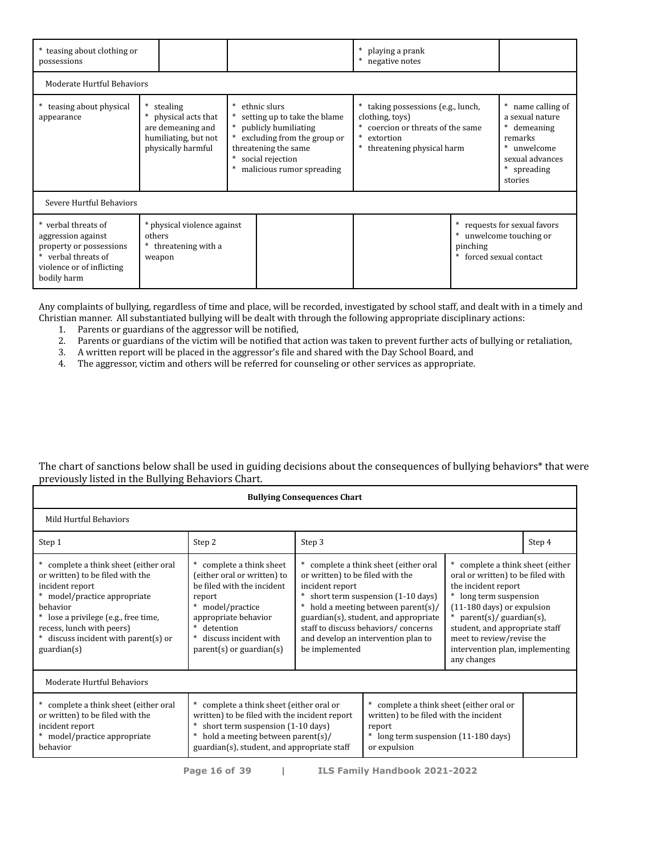| * teasing about clothing or<br>possessions                                                                                              |        |                                                                                                   |  |                                                                                                                                                                                | * playing a prank<br>* negative notes |                                                                                                        |          |                                                                                                                            |
|-----------------------------------------------------------------------------------------------------------------------------------------|--------|---------------------------------------------------------------------------------------------------|--|--------------------------------------------------------------------------------------------------------------------------------------------------------------------------------|---------------------------------------|--------------------------------------------------------------------------------------------------------|----------|----------------------------------------------------------------------------------------------------------------------------|
| Moderate Hurtful Behaviors                                                                                                              |        |                                                                                                   |  |                                                                                                                                                                                |                                       |                                                                                                        |          |                                                                                                                            |
| teasing about physical<br>appearance                                                                                                    |        | stealing<br>physical acts that<br>are demeaning and<br>humiliating, but not<br>physically harmful |  | ethnic slurs<br>setting up to take the blame<br>* publicly humiliating<br>excluding from the group or<br>threatening the same<br>social rejection<br>malicious rumor spreading | clothing, toys)<br>* extortion        | * taking possessions (e.g., lunch,<br>* coercion or threats of the same<br>* threatening physical harm |          | * name calling of<br>a sexual nature<br>* demeaning<br>remarks<br>* unwelcome<br>sexual advances<br>* spreading<br>stories |
| Severe Hurtful Behaviors                                                                                                                |        |                                                                                                   |  |                                                                                                                                                                                |                                       |                                                                                                        |          |                                                                                                                            |
| * verbal threats of<br>aggression against<br>property or possessions<br>* verbal threats of<br>violence or of inflicting<br>bodily harm | others | * physical violence against<br>* threatening with a<br>weapon                                     |  |                                                                                                                                                                                |                                       |                                                                                                        | pinching | * requests for sexual favors<br>* unwelcome touching or<br>* forced sexual contact                                         |

Any complaints of bullying, regardless of time and place, will be recorded, investigated by school staff, and dealt with in a timely and Christian manner. All substantiated bullying will be dealt with through the following appropriate disciplinary actions:

- 1. Parents or guardians of the aggressor will be notified,
- 2. Parents or guardians of the victim will be notified that action was taken to prevent further acts of bullying or retaliation,
- 3. A written report will be placed in the aggressor's file and shared with the Day School Board, and
- 4. The aggressor, victim and others will be referred for counseling or other services as appropriate.

| <b>Bullying Consequences Chart</b>                                                                                                                                                                                                                                                    |                                                                                                                                                                                                                                                                                                                                                                          |                                                                                                                                                                                                                                                                                                                 |  |                                                                                                                                                                                                                                                                                                              |        |
|---------------------------------------------------------------------------------------------------------------------------------------------------------------------------------------------------------------------------------------------------------------------------------------|--------------------------------------------------------------------------------------------------------------------------------------------------------------------------------------------------------------------------------------------------------------------------------------------------------------------------------------------------------------------------|-----------------------------------------------------------------------------------------------------------------------------------------------------------------------------------------------------------------------------------------------------------------------------------------------------------------|--|--------------------------------------------------------------------------------------------------------------------------------------------------------------------------------------------------------------------------------------------------------------------------------------------------------------|--------|
| Mild Hurtful Behaviors                                                                                                                                                                                                                                                                |                                                                                                                                                                                                                                                                                                                                                                          |                                                                                                                                                                                                                                                                                                                 |  |                                                                                                                                                                                                                                                                                                              |        |
| Step 1                                                                                                                                                                                                                                                                                | Step 2                                                                                                                                                                                                                                                                                                                                                                   | Step 3                                                                                                                                                                                                                                                                                                          |  |                                                                                                                                                                                                                                                                                                              | Step 4 |
| * complete a think sheet (either oral<br>or written) to be filed with the<br>incident report<br>* model/practice appropriate<br>behavior<br>* lose a privilege (e.g., free time,<br>recess, lunch with peers)<br>* discuss incident with parent(s) or<br>$\frac{1}{2}$ guardian $(s)$ | complete a think sheet<br>(either oral or written) to<br>be filed with the incident<br>report<br>model/practice<br>appropriate behavior<br>$\ast$<br>detention<br>discuss incident with<br>$parent(s)$ or guardian $(s)$                                                                                                                                                 | * complete a think sheet (either oral<br>or written) to be filed with the<br>incident report<br>short term suspension (1-10 days)<br>hold a meeting between parent(s)/<br>guardian(s), student, and appropriate<br>staff to discuss behaviors/concerns<br>and develop an intervention plan to<br>be implemented |  | * complete a think sheet (either<br>oral or written) to be filed with<br>the incident report<br>* long term suspension<br>$(11-180 \text{ days})$ or expulsion<br>$parent(s)/$ guardian(s),<br>student, and appropriate staff<br>meet to review/revise the<br>intervention plan, implementing<br>any changes |        |
| Moderate Hurtful Behaviors                                                                                                                                                                                                                                                            |                                                                                                                                                                                                                                                                                                                                                                          |                                                                                                                                                                                                                                                                                                                 |  |                                                                                                                                                                                                                                                                                                              |        |
| * complete a think sheet (either oral<br>or written) to be filed with the<br>incident report<br>* model/practice appropriate<br>behavior                                                                                                                                              | * complete a think sheet (either oral or<br>* complete a think sheet (either oral or<br>written) to be filed with the incident report<br>written) to be filed with the incident<br>short term suspension (1-10 days)<br>report<br>hold a meeting between parent(s)/<br>long term suspension (11-180 days)<br>guardian(s), student, and appropriate staff<br>or expulsion |                                                                                                                                                                                                                                                                                                                 |  |                                                                                                                                                                                                                                                                                                              |        |

The chart of sanctions below shall be used in guiding decisions about the consequences of bullying behaviors\* that were previously listed in the Bullying Behaviors Chart.

**Page 16 of 39 | ILS Family Handbook 2021-2022**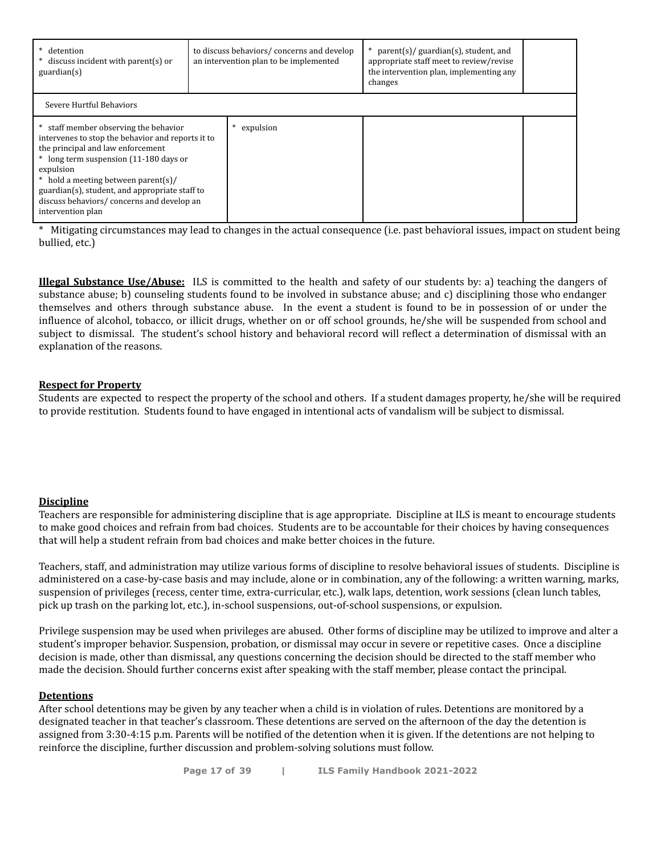| * detention<br>discuss incident with parent(s) or<br>$\text{quardian(s)}$                                                                                                                                                                                                                                                                       | to discuss behaviors/concerns and develop<br>an intervention plan to be implemented |           | $parent(s)/$ guardian(s), student, and<br>appropriate staff meet to review/revise<br>the intervention plan, implementing any<br>changes |  |  |  |
|-------------------------------------------------------------------------------------------------------------------------------------------------------------------------------------------------------------------------------------------------------------------------------------------------------------------------------------------------|-------------------------------------------------------------------------------------|-----------|-----------------------------------------------------------------------------------------------------------------------------------------|--|--|--|
| Severe Hurtful Behaviors                                                                                                                                                                                                                                                                                                                        |                                                                                     |           |                                                                                                                                         |  |  |  |
| staff member observing the behavior<br>intervenes to stop the behavior and reports it to<br>the principal and law enforcement<br>* long term suspension (11-180 days or<br>expulsion<br>* hold a meeting between parent(s)/<br>guardian(s), student, and appropriate staff to<br>discuss behaviors/concerns and develop an<br>intervention plan |                                                                                     | expulsion |                                                                                                                                         |  |  |  |

Mitigating circumstances may lead to changes in the actual consequence (i.e. past behavioral issues, impact on student being bullied, etc.)

**Illegal Substance Use/Abuse:** ILS is committed to the health and safety of our students by: a) teaching the dangers of substance abuse; b) counseling students found to be involved in substance abuse; and c) disciplining those who endanger themselves and others through substance abuse. In the event a student is found to be in possession of or under the influence of alcohol, tobacco, or illicit drugs, whether on or off school grounds, he/she will be suspended from school and subject to dismissal. The student's school history and behavioral record will reflect a determination of dismissal with an explanation of the reasons.

#### **Respect for Property**

Students are expected to respect the property of the school and others. If a student damages property, he/she will be required to provide restitution. Students found to have engaged in intentional acts of vandalism will be subject to dismissal.

#### **Discipline**

Teachers are responsible for administering discipline that is age appropriate. Discipline at ILS is meant to encourage students to make good choices and refrain from bad choices. Students are to be accountable for their choices by having consequences that will help a student refrain from bad choices and make better choices in the future.

Teachers, staff, and administration may utilize various forms of discipline to resolve behavioral issues of students. Discipline is administered on a case-by-case basis and may include, alone or in combination, any of the following: a written warning, marks, suspension of privileges (recess, center time, extra-curricular, etc.), walk laps, detention, work sessions (clean lunch tables, pick up trash on the parking lot, etc.), in-school suspensions, out-of-school suspensions, or expulsion.

Privilege suspension may be used when privileges are abused. Other forms of discipline may be utilized to improve and alter a student's improper behavior. Suspension, probation, or dismissal may occur in severe or repetitive cases. Once a discipline decision is made, other than dismissal, any questions concerning the decision should be directed to the staff member who made the decision. Should further concerns exist after speaking with the staff member, please contact the principal.

#### **Detentions**

After school detentions may be given by any teacher when a child is in violation of rules. Detentions are monitored by a designated teacher in that teacher's classroom. These detentions are served on the afternoon of the day the detention is assigned from 3:30-4:15 p.m. Parents will be notified of the detention when it is given. If the detentions are not helping to reinforce the discipline, further discussion and problem-solving solutions must follow.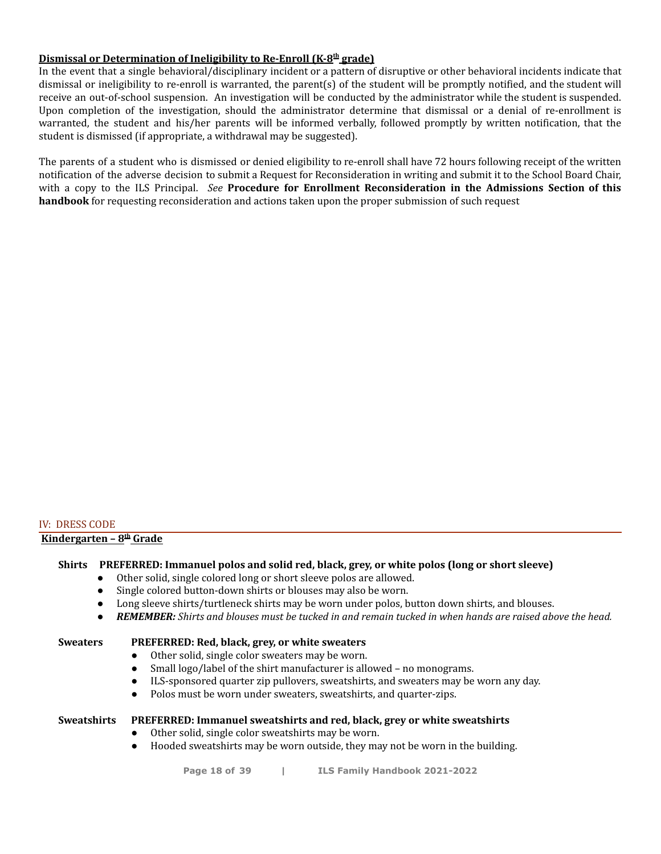#### **Dismissal or Determination of Ineligibility to Re-Enroll (K-8 th grade)**

In the event that a single behavioral/disciplinary incident or a pattern of disruptive or other behavioral incidents indicate that dismissal or ineligibility to re-enroll is warranted, the parent(s) of the student will be promptly notified, and the student will receive an out-of-school suspension. An investigation will be conducted by the administrator while the student is suspended. Upon completion of the investigation, should the administrator determine that dismissal or a denial of re-enrollment is warranted, the student and his/her parents will be informed verbally, followed promptly by written notification, that the student is dismissed (if appropriate, a withdrawal may be suggested).

The parents of a student who is dismissed or denied eligibility to re-enroll shall have 72 hours following receipt of the written notification of the adverse decision to submit a Request for Reconsideration in writing and submit it to the School Board Chair, with a copy to the ILS Principal. *See* **Procedure for Enrollment Reconsideration in the Admissions Section of this handbook** for requesting reconsideration and actions taken upon the proper submission of such request

#### IV: DRESS CODE

#### **Kindergarten – 8 th Grade**

#### **Shirts PREFERRED: Immanuel polos and solid red, black, grey, or white polos (long or short sleeve)**

- Other solid, single colored long or short sleeve polos are allowed.
- Single colored button-down shirts or blouses may also be worn.
- Long sleeve shirts/turtleneck shirts may be worn under polos, button down shirts, and blouses.
- REMEMBER: Shirts and blouses must be tucked in and remain tucked in when hands are raised above the head.

#### **Sweaters PREFERRED: Red, black, grey, or white sweaters**

- Other solid, single color sweaters may be worn.
	- Small logo/label of the shirt manufacturer is allowed no monograms.
	- ILS-sponsored quarter zip pullovers, sweatshirts, and sweaters may be worn any day.
	- Polos must be worn under sweaters, sweatshirts, and quarter-zips.

#### **Sweatshirts PREFERRED: Immanuel sweatshirts and red, black, grey or white sweatshirts**

- Other solid, single color sweatshirts may be worn.
- Hooded sweatshirts may be worn outside, they may not be worn in the building.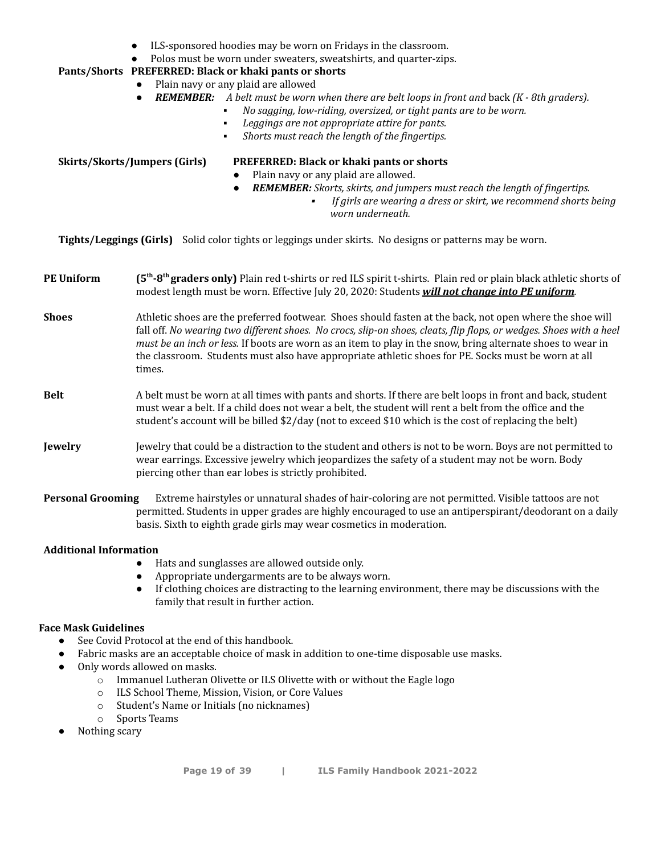- ILS-sponsored hoodies may be worn on Fridays in the classroom.
- Polos must be worn under sweaters, sweatshirts, and quarter-zips.

#### **Pants/Shorts PREFERRED: Black or khaki pants or shorts**

- Plain navy or any plaid are allowed
- *REMEMBER: A belt must be worn when there are belt loops in front and* back *(K - 8th graders).*
	- *No sagging, low-riding, oversized, or tight pants are to be worn.*
	- *Leggings are not appropriate attire for pants.*
	- *Shorts must reach the length of the fingertips.*

#### **Skirts/Skorts/Jumpers (Girls) PREFERRED: Black or khaki pants or shorts**

- Plain navy or any plaid are allowed.
- *REMEMBER: Skorts, skirts, and jumpers must reach the length of fingertips.*
	- ▪ *If girls are wearing a dress or skirt, we recommend shorts being worn underneath.*

**Tights/Leggings (Girls)** Solid color tights or leggings under skirts. No designs or patterns may be worn.

**PE Uniform (5 th -8 th graders only)** Plain red t-shirts or red ILS spirit t-shirts. Plain red or plain black athletic shorts of modest length must be worn. Effective July 20, 2020: Students *will not change into PE uniform.*

**Shoes** Athletic shoes are the preferred footwear. Shoes should fasten at the back, not open where the shoe will fall off. No wearing two different shoes. No crocs, slip-on shoes, cleats, flip flops, or wedges. Shoes with a heel *must be an inch or less.* If boots are worn as an item to play in the snow, bring alternate shoes to wear in the classroom. Students must also have appropriate athletic shoes for PE. Socks must be worn at all times.

#### **Belt** A belt must be worn at all times with pants and shorts. If there are belt loops in front and back, student must wear a belt. If a child does not wear a belt, the student will rent a belt from the office and the student's account will be billed \$2/day (not to exceed \$10 which is the cost of replacing the belt)

**Jewelry** Jewelry that could be a distraction to the student and others is not to be worn. Boys are not permitted to wear earrings. Excessive jewelry which jeopardizes the safety of a student may not be worn. Body piercing other than ear lobes is strictly prohibited.

**Personal Grooming** Extreme hairstyles or unnatural shades of hair-coloring are not permitted. Visible tattoos are not permitted. Students in upper grades are highly encouraged to use an antiperspirant/deodorant on a daily basis. Sixth to eighth grade girls may wear cosmetics in moderation.

#### **Additional Information**

- Hats and sunglasses are allowed outside only.
- Appropriate undergarments are to be always worn.
- If clothing choices are distracting to the learning environment, there may be discussions with the family that result in further action.

#### **Face Mask Guidelines**

- See Covid Protocol at the end of this handbook.
- Fabric masks are an acceptable choice of mask in addition to one-time disposable use masks.
- Only words allowed on masks.
	- o Immanuel Lutheran Olivette or ILS Olivette with or without the Eagle logo
	- o ILS School Theme, Mission, Vision, or Core Values
	- o Student's Name or Initials (no nicknames)
	- o Sports Teams
- Nothing scary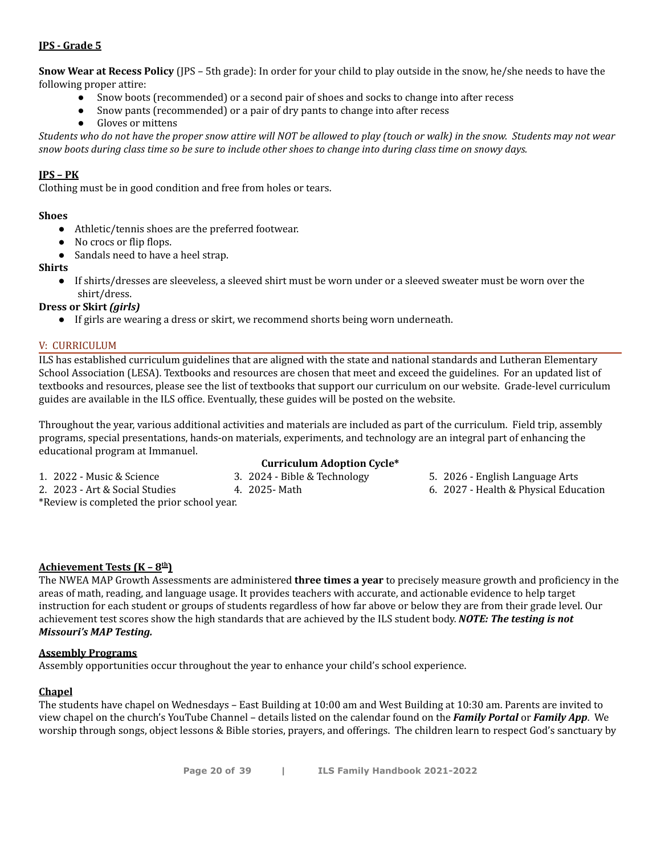#### **JPS - Grade 5**

**Snow Wear at Recess Policy** (JPS – 5th grade): In order for your child to play outside in the snow, he/she needs to have the following proper attire:

- Snow boots (recommended) or a second pair of shoes and socks to change into after recess
- Snow pants (recommended) or a pair of dry pants to change into after recess
- Gloves or mittens

Students who do not have the proper snow attire will NOT be allowed to play (touch or walk) in the snow. Students may not wear snow boots during class time so be sure to include other shoes to change into during class time on snowy days.

#### **JPS – PK**

Clothing must be in good condition and free from holes or tears.

#### **Shoes**

- Athletic/tennis shoes are the preferred footwear.
- No crocs or flip flops.
- Sandals need to have a heel strap.

#### **Shirts**

● If shirts/dresses are sleeveless, a sleeved shirt must be worn under or a sleeved sweater must be worn over the shirt/dress.

#### **Dress or Skirt** *(girls)*

● If girls are wearing a dress or skirt, we recommend shorts being worn underneath.

#### V: CURRICULUM

ILS has established curriculum guidelines that are aligned with the state and national standards and Lutheran Elementary School Association (LESA). Textbooks and resources are chosen that meet and exceed the guidelines. For an updated list of textbooks and resources, please see the list of textbooks that support our curriculum on our website. Grade-level curriculum guides are available in the ILS office. Eventually, these guides will be posted on the website.

Throughout the year, various additional activities and materials are included as part of the curriculum. Field trip, assembly programs, special presentations, hands-on materials, experiments, and technology are an integral part of enhancing the educational program at Immanuel.

1. 2022 - Music & Science

#### **Curriculum Adoption Cycle\***

3. 2024 - Bible & Technology

4. 2025- Math

2. 2023 - Art & Social Studies

\*Review is completed the prior school year.

- 5. 2026 English Language Arts
	- 6. 2027 Health & Physical Education

#### **Achievement Tests (K – 8 th)**

The NWEA MAP Growth Assessments are administered **three times a year** to precisely measure growth and proficiency in the areas of math, reading, and language usage. It provides teachers with accurate, and actionable evidence to help target instruction for each student or groups of students regardless of how far above or below they are from their grade level. Our achievement test scores show the high standards that are achieved by the ILS student body. *NOTE: The testing is not Missouri's MAP Testing.*

#### **Assembly Programs**

Assembly opportunities occur throughout the year to enhance your child's school experience.

#### **Chapel**

The students have chapel on Wednesdays – East Building at 10:00 am and West Building at 10:30 am. Parents are invited to view chapel on the church's YouTube Channel – details listed on the calendar found on the *Family Portal* or *Family App*. We worship through songs, object lessons & Bible stories, prayers, and offerings. The children learn to respect God's sanctuary by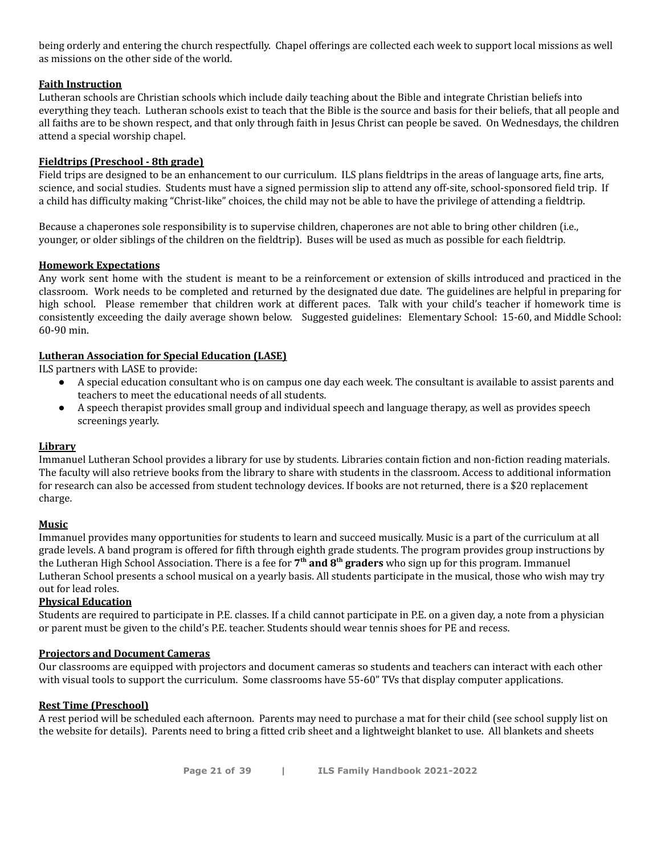being orderly and entering the church respectfully. Chapel offerings are collected each week to support local missions as well as missions on the other side of the world.

#### **Faith Instruction**

Lutheran schools are Christian schools which include daily teaching about the Bible and integrate Christian beliefs into everything they teach. Lutheran schools exist to teach that the Bible is the source and basis for their beliefs, that all people and all faiths are to be shown respect, and that only through faith in Jesus Christ can people be saved. On Wednesdays, the children attend a special worship chapel.

#### **Fieldtrips (Preschool - 8th grade)**

Field trips are designed to be an enhancement to our curriculum. ILS plans fieldtrips in the areas of language arts, fine arts, science, and social studies. Students must have a signed permission slip to attend any off-site, school-sponsored field trip. If a child has difficulty making "Christ-like" choices, the child may not be able to have the privilege of attending a fieldtrip.

Because a chaperones sole responsibility is to supervise children, chaperones are not able to bring other children (i.e., younger, or older siblings of the children on the fieldtrip). Buses will be used as much as possible for each fieldtrip.

#### **Homework Expectations**

Any work sent home with the student is meant to be a reinforcement or extension of skills introduced and practiced in the classroom. Work needs to be completed and returned by the designated due date. The guidelines are helpful in preparing for high school. Please remember that children work at different paces. Talk with your child's teacher if homework time is consistently exceeding the daily average shown below. Suggested guidelines: Elementary School: 15-60, and Middle School: 60-90 min.

#### **Lutheran Association for Special Education (LASE)**

ILS partners with LASE to provide:

- A special education consultant who is on campus one day each week. The consultant is available to assist parents and teachers to meet the educational needs of all students.
- A speech therapist provides small group and individual speech and language therapy, as well as provides speech screenings yearly.

#### **Library**

Immanuel Lutheran School provides a library for use by students. Libraries contain fiction and non-fiction reading materials. The faculty will also retrieve books from the library to share with students in the classroom. Access to additional information for research can also be accessed from student technology devices. If books are not returned, there is a \$20 replacement charge.

#### **Music**

Immanuel provides many opportunities for students to learn and succeed musically. Music is a part of the curriculum at all grade levels. A band program is offered for fifth through eighth grade students. The program provides group instructions by the Lutheran High School Association. There is a fee for **7 th and 8 th graders** who sign up for this program. Immanuel Lutheran School presents a school musical on a yearly basis. All students participate in the musical, those who wish may try out for lead roles.

#### **Physical Education**

Students are required to participate in P.E. classes. If a child cannot participate in P.E. on a given day, a note from a physician or parent must be given to the child's P.E. teacher. Students should wear tennis shoes for PE and recess.

#### **Projectors and Document Cameras**

Our classrooms are equipped with projectors and document cameras so students and teachers can interact with each other with visual tools to support the curriculum. Some classrooms have 55-60" TVs that display computer applications.

#### **Rest Time (Preschool)**

A rest period will be scheduled each afternoon. Parents may need to purchase a mat for their child (see school supply list on the website for details). Parents need to bring a fitted crib sheet and a lightweight blanket to use. All blankets and sheets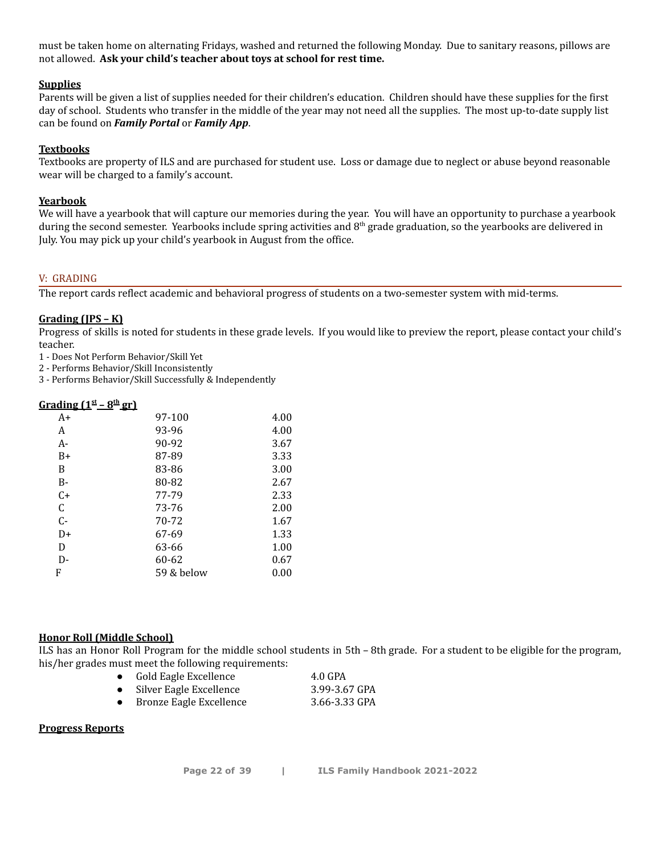must be taken home on alternating Fridays, washed and returned the following Monday. Due to sanitary reasons, pillows are not allowed. **Ask your child's teacher about toys at school for rest time.**

#### **Supplies**

Parents will be given a list of supplies needed for their children's education. Children should have these supplies for the first day of school. Students who transfer in the middle of the year may not need all the supplies. The most up-to-date supply list can be found on *Family Portal* or *Family App*.

#### **Textbooks**

Textbooks are property of ILS and are purchased for student use. Loss or damage due to neglect or abuse beyond reasonable wear will be charged to a family's account.

#### **Yearbook**

We will have a yearbook that will capture our memories during the year. You will have an opportunity to purchase a yearbook during the second semester. Yearbooks include spring activities and 8<sup>th</sup> grade graduation, so the yearbooks are delivered in July. You may pick up your child's yearbook in August from the office.

#### V: GRADING

The report cards reflect academic and behavioral progress of students on a two-semester system with mid-terms.

#### **Grading (JPS – K)**

Progress of skills is noted for students in these grade levels. If you would like to preview the report, please contact your child's teacher.

1 - Does Not Perform Behavior/Skill Yet

2 - Performs Behavior/Skill Inconsistently

3 - Performs Behavior/Skill Successfully & Independently

#### **Grading (1 st – 8 th gr)**

| A+    | 97-100     | 4.00 |
|-------|------------|------|
| A     | 93-96      | 4.00 |
| $A -$ | 90-92      | 3.67 |
| $B+$  | 87-89      | 3.33 |
| B     | 83-86      | 3.00 |
| $B -$ | 80-82      | 2.67 |
| $C+$  | 77-79      | 2.33 |
| C     | 73-76      | 2.00 |
| C-    | 70-72      | 1.67 |
| D+    | 67-69      | 1.33 |
| D     | 63-66      | 1.00 |
| D-    | 60-62      | 0.67 |
| F     | 59 & below | 0.00 |
|       |            |      |

#### **Honor Roll (Middle School)**

ILS has an Honor Roll Program for the middle school students in 5th – 8th grade. For a student to be eligible for the program, his/her grades must meet the following requirements:

● Gold Eagle Excellence 4.0 GPA

| Silver Eagle Excellence | 3.99-3.67 GPA |
|-------------------------|---------------|
| Bronze Eagle Excellence | 3.66-3.33 GPA |

#### **Progress Reports**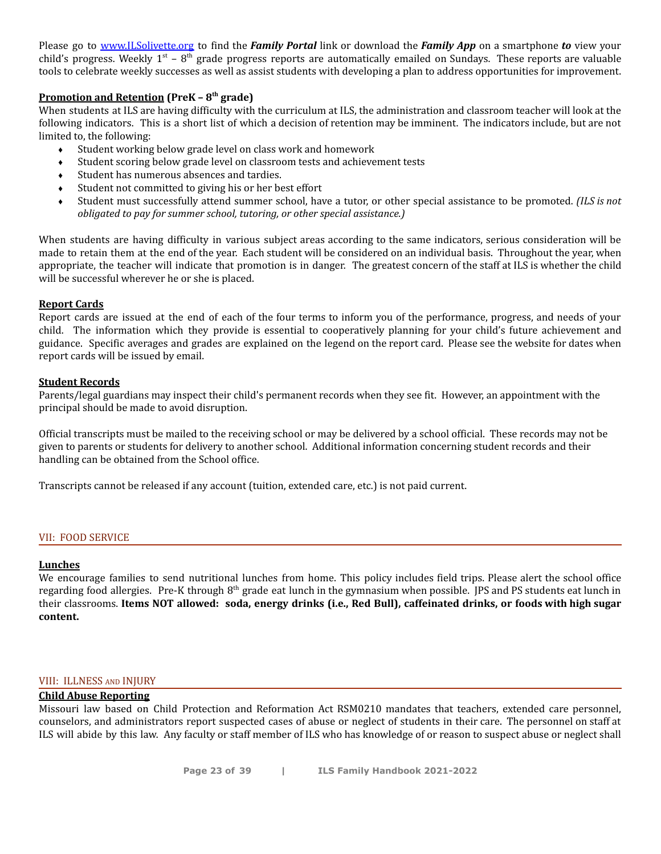Please go to [www.ILSolivette.org](http://www.ilsolivette.org) to find the *Family Portal* link or download the *Family App* on a smartphone *to* view your child's progress. Weekly  $1^{st}$  –  $8^{th}$  grade progress reports are automatically emailed on Sundays. These reports are valuable tools to celebrate weekly successes as well as assist students with developing a plan to address opportunities for improvement.

#### **Promotion and Retention (PreK – 8 th grade)**

When students at ILS are having difficulty with the curriculum at ILS, the administration and classroom teacher will look at the following indicators. This is a short list of which a decision of retention may be imminent. The indicators include, but are not limited to, the following:

- ♦ Student working below grade level on class work and homework
- ♦ Student scoring below grade level on classroom tests and achievement tests
- Student has numerous absences and tardies.
- Student not committed to giving his or her best effort
- ♦ Student must successfully attend summer school, have a tutor, or other special assistance to be promoted. *(ILS is not obligated to pay for summer school, tutoring, or other special assistance.)*

When students are having difficulty in various subject areas according to the same indicators, serious consideration will be made to retain them at the end of the year. Each student will be considered on an individual basis. Throughout the year, when appropriate, the teacher will indicate that promotion is in danger. The greatest concern of the staff at ILS is whether the child will be successful wherever he or she is placed.

#### **Report Cards**

Report cards are issued at the end of each of the four terms to inform you of the performance, progress, and needs of your child. The information which they provide is essential to cooperatively planning for your child's future achievement and guidance. Specific averages and grades are explained on the legend on the report card. Please see the website for dates when report cards will be issued by email.

#### **Student Records**

Parents/legal guardians may inspect their child's permanent records when they see fit. However, an appointment with the principal should be made to avoid disruption.

Official transcripts must be mailed to the receiving school or may be delivered by a school official. These records may not be given to parents or students for delivery to another school. Additional information concerning student records and their handling can be obtained from the School office.

Transcripts cannot be released if any account (tuition, extended care, etc.) is not paid current.

#### VII: FOOD SERVICE

#### **Lunches**

We encourage families to send nutritional lunches from home. This policy includes field trips. Please alert the school office regarding food allergies. Pre-K through 8<sup>th</sup> grade eat lunch in the gymnasium when possible. JPS and PS students eat lunch in their classrooms. Items NOT allowed: soda, energy drinks (i.e., Red Bull), caffeinated drinks, or foods with high sugar **content.**

#### VIII: ILLNESS AND INJURY

#### **Child Abuse Reporting**

Missouri law based on Child Protection and Reformation Act RSM0210 mandates that teachers, extended care personnel, counselors, and administrators report suspected cases of abuse or neglect of students in their care. The personnel on staff at ILS will abide by this law. Any faculty or staff member of ILS who has knowledge of or reason to suspect abuse or neglect shall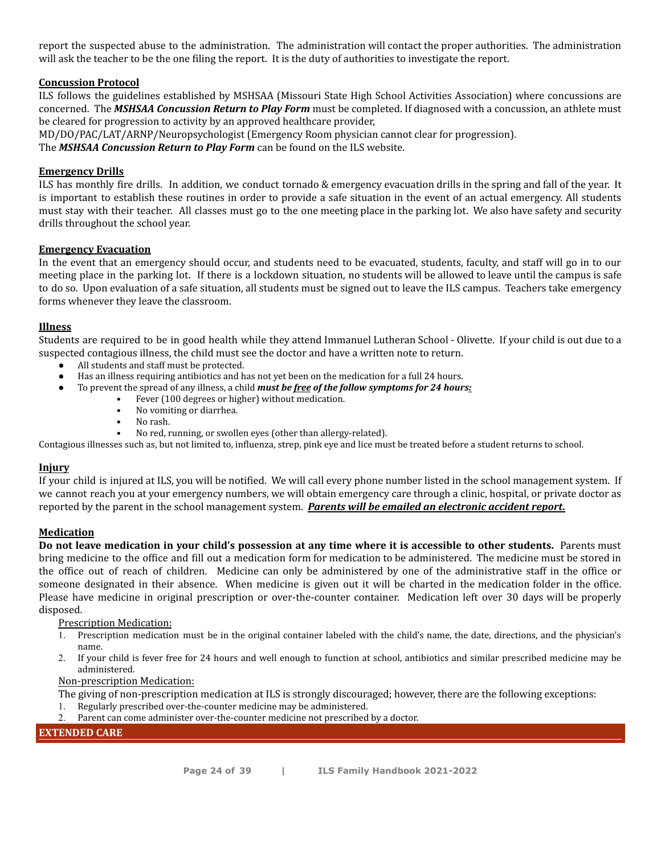report the suspected abuse to the administration. The administration will contact the proper authorities. The administration will ask the teacher to be the one filing the report. It is the duty of authorities to investigate the report.

#### **Concussion Protocol**

ILS follows the guidelines established by MSHSAA (Missouri State High School Activities Association) where concussions are concerned. The *MSHSAA Concussion Return to Play Form* must be completed. If diagnosed with a concussion, an athlete must be cleared for progression to activity by an approved healthcare provider,

MD/DO/PAC/LAT/ARNP/Neuropsychologist (Emergency Room physician cannot clear for progression).

The *MSHSAA Concussion Return to Play Form* can be found on the ILS website.

#### **Emergency Drills**

ILS has monthly fire drills. In addition, we conduct tornado & emergency evacuation drills in the spring and fall of the year. It is important to establish these routines in order to provide a safe situation in the event of an actual emergency. All students must stay with their teacher. All classes must go to the one meeting place in the parking lot. We also have safety and security drills throughout the school year.

#### **Emergency Evacuation**

In the event that an emergency should occur, and students need to be evacuated, students, faculty, and staff will go in to our meeting place in the parking lot. If there is a lockdown situation, no students will be allowed to leave until the campus is safe to do so. Upon evaluation of a safe situation, all students must be signed out to leave the ILS campus. Teachers take emergency forms whenever they leave the classroom.

#### **Illness**

Students are required to be in good health while they attend Immanuel Lutheran School - Olivette. If your child is out due to a suspected contagious illness, the child must see the doctor and have a written note to return.

- All students and staff must be protected.
- Has an illness requiring antibiotics and has not yet been on the medication for a full 24 hours.
	- To prevent the spread of any illness, a child *must be free of the follow symptoms for 24 hours:*
		- Fever (100 degrees or higher) without medication.
		- No vomiting or diarrhea.
		- No rash.
		- No red, running, or swollen eyes (other than allergy-related).

Contagious illnesses such as, but not limited to, influenza, strep, pink eye and lice must be treated before a student returns to school.

#### **Injury**

If your child is injured at ILS, you will be notified. We will call every phone number listed in the school management system. If we cannot reach you at your emergency numbers, we will obtain emergency care through a clinic, hospital, or private doctor as reported by the parent in the school management system. *Parents will be emailed an electronic accident report.*

#### **Medication**

Do not leave medication in your child's possession at any time where it is accessible to other students. Parents must bring medicine to the office and fill out a medication form for medication to be administered. The medicine must be stored in the office out of reach of children. Medicine can only be administered by one of the administrative staff in the office or someone designated in their absence. When medicine is given out it will be charted in the medication folder in the office. Please have medicine in original prescription or over-the-counter container. Medication left over 30 days will be properly disposed.

#### Prescription Medication:

- 1. Prescription medication must be in the original container labeled with the child's name, the date, directions, and the physician's name.
- 2. If your child is fever free for 24 hours and well enough to function at school, antibiotics and similar prescribed medicine may be administered.

#### Non-prescription Medication:

The giving of non-prescription medication at ILS is strongly discouraged; however, there are the following exceptions:

- 1. Regularly prescribed over-the-counter medicine may be administered.
- 2. Parent can come administer over-the-counter medicine not prescribed by a doctor.

#### **EXTENDED CARE**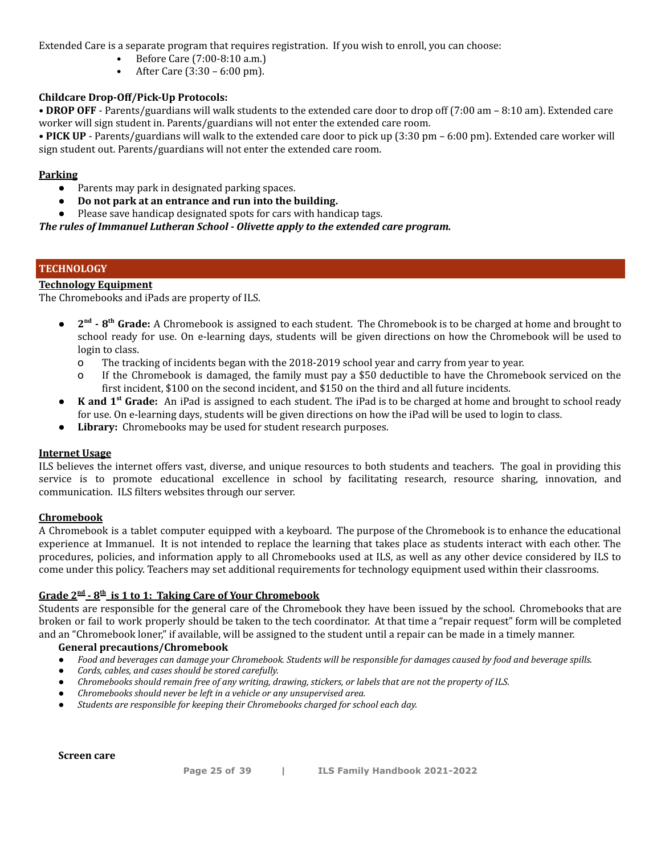Extended Care is a separate program that requires registration. If you wish to enroll, you can choose:

- Before Care (7:00-8:10 a.m.)
- After Care (3:30 6:00 pm).

#### **Childcare Drop-Off/Pick-Up Protocols:**

**• DROP OFF** - Parents/guardians will walk students to the extended care door to drop off (7:00 am – 8:10 am). Extended care worker will sign student in. Parents/guardians will not enter the extended care room.

**• PICK UP** - Parents/guardians will walk to the extended care door to pick up (3:30 pm – 6:00 pm). Extended care worker will sign student out. Parents/guardians will not enter the extended care room.

#### **Parking**

- Parents may park in designated parking spaces.
- **Do not park at an entrance and run into the building.**
- Please save handicap designated spots for cars with handicap tags.

*The rules of Immanuel Lutheran School - Olivette apply to the extended care program.*

#### **TECHNOLOGY**

#### **Technology Equipment**

The Chromebooks and iPads are property of ILS.

- **2 nd - 8 th Grade:** A Chromebook is assigned to each student. The Chromebook is to be charged at home and brought to school ready for use. On e-learning days, students will be given directions on how the Chromebook will be used to login to class.
	- o The tracking of incidents began with the 2018-2019 school year and carry from year to year.
	- o If the Chromebook is damaged, the family must pay a \$50 deductible to have the Chromebook serviced on the first incident, \$100 on the second incident, and \$150 on the third and all future incidents.
- **K and 1 st Grade:** An iPad is assigned to each student. The iPad is to be charged at home and brought to school ready for use. On e-learning days, students will be given directions on how the iPad will be used to login to class.
- **Library:** Chromebooks may be used for student research purposes.

#### **Internet Usage**

ILS believes the internet offers vast, diverse, and unique resources to both students and teachers. The goal in providing this service is to promote educational excellence in school by facilitating research, resource sharing, innovation, and communication. ILS filters websites through our server.

#### **Chromebook**

A Chromebook is a tablet computer equipped with a keyboard. The purpose of the Chromebook is to enhance the educational experience at Immanuel. It is not intended to replace the learning that takes place as students interact with each other. The procedures, policies, and information apply to all Chromebooks used at ILS, as well as any other device considered by ILS to come under this policy. Teachers may set additional requirements for technology equipment used within their classrooms.

#### $\frac{1}{2}$   $\frac{1}{2}$   $\frac{1}{2}$   $\frac{1}{2}$   $\frac{1}{2}$  **is** 1 to 1: Taking Care of Your Chromebook

Students are responsible for the general care of the Chromebook they have been issued by the school. Chromebooks that are broken or fail to work properly should be taken to the tech coordinator. At that time a "repair request" form will be completed and an "Chromebook loner," if available, will be assigned to the student until a repair can be made in a timely manner.

#### **General precautions/Chromebook**

- Food and beverages can damage your Chromebook. Students will be responsible for damages caused by food and beverage spills.
- Cords, cables, and cases should be stored carefully.
- *Chromebooks should remain free of any writing, drawing, stickers, or labels that are not the property of ILS.*
- *Chromebooks should never be left in a vehicle or any unsupervised area.*
- *Students are responsible for keeping their Chromebooks charged for school each day.*

**Screen care**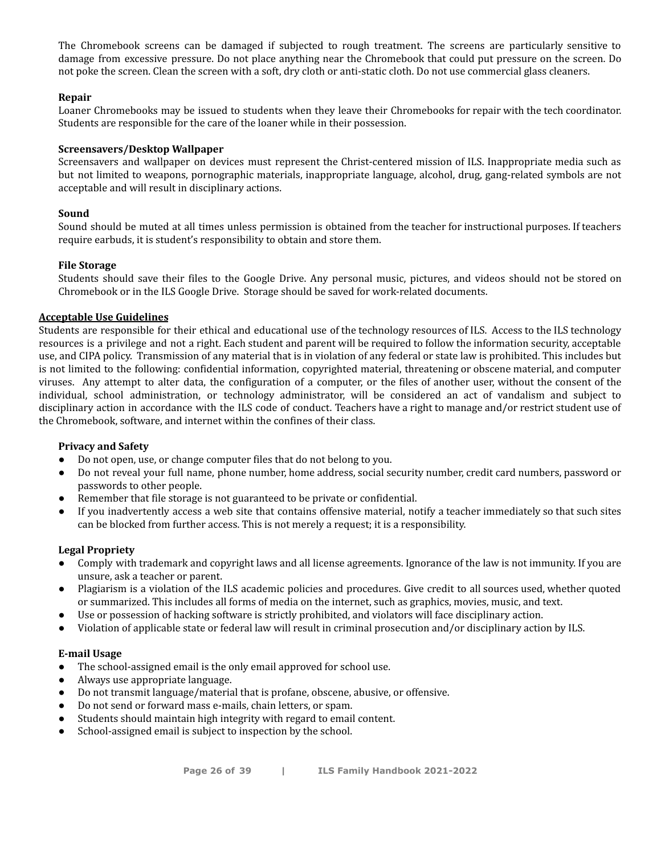The Chromebook screens can be damaged if subjected to rough treatment. The screens are particularly sensitive to damage from excessive pressure. Do not place anything near the Chromebook that could put pressure on the screen. Do not poke the screen. Clean the screen with a soft, dry cloth or anti-static cloth. Do not use commercial glass cleaners.

#### **Repair**

Loaner Chromebooks may be issued to students when they leave their Chromebooks for repair with the tech coordinator. Students are responsible for the care of the loaner while in their possession.

#### **Screensavers/Desktop Wallpaper**

Screensavers and wallpaper on devices must represent the Christ-centered mission of ILS. Inappropriate media such as but not limited to weapons, pornographic materials, inappropriate language, alcohol, drug, gang-related symbols are not acceptable and will result in disciplinary actions.

#### **Sound**

Sound should be muted at all times unless permission is obtained from the teacher for instructional purposes. If teachers require earbuds, it is student's responsibility to obtain and store them.

#### **File Storage**

Students should save their files to the Google Drive. Any personal music, pictures, and videos should not be stored on Chromebook or in the ILS Google Drive. Storage should be saved for work-related documents.

#### **Acceptable Use Guidelines**

Students are responsible for their ethical and educational use of the technology resources of ILS. Access to the ILS technology resources is a privilege and not a right. Each student and parent will be required to follow the information security, acceptable use, and CIPA policy. Transmission of any material that is in violation of any federal or state law is prohibited. This includes but is not limited to the following: confidential information, copyrighted material, threatening or obscene material, and computer viruses. Any attempt to alter data, the configuration of a computer, or the files of another user, without the consent of the individual, school administration, or technology administrator, will be considered an act of vandalism and subject to disciplinary action in accordance with the ILS code of conduct. Teachers have a right to manage and/or restrict student use of the Chromebook, software, and internet within the confines of their class.

#### **Privacy and Safety**

- Do not open, use, or change computer files that do not belong to you.
- Do not reveal your full name, phone number, home address, social security number, credit card numbers, password or passwords to other people.
- Remember that file storage is not guaranteed to be private or confidential.
- If you inadvertently access a web site that contains offensive material, notify a teacher immediately so that such sites can be blocked from further access. This is not merely a request; it is a responsibility.

#### **Legal Propriety**

- Comply with trademark and copyright laws and all license agreements. Ignorance of the law is not immunity. If you are unsure, ask a teacher or parent.
- Plagiarism is a violation of the ILS academic policies and procedures. Give credit to all sources used, whether quoted or summarized. This includes all forms of media on the internet, such as graphics, movies, music, and text.
- Use or possession of hacking software is strictly prohibited, and violators will face disciplinary action.
- Violation of applicable state or federal law will result in criminal prosecution and/or disciplinary action by ILS.

#### **E-mail Usage**

- The school-assigned email is the only email approved for school use.
- Always use appropriate language.
- Do not transmit language/material that is profane, obscene, abusive, or offensive.
- Do not send or forward mass e-mails, chain letters, or spam.
- Students should maintain high integrity with regard to email content.
- School-assigned email is subject to inspection by the school.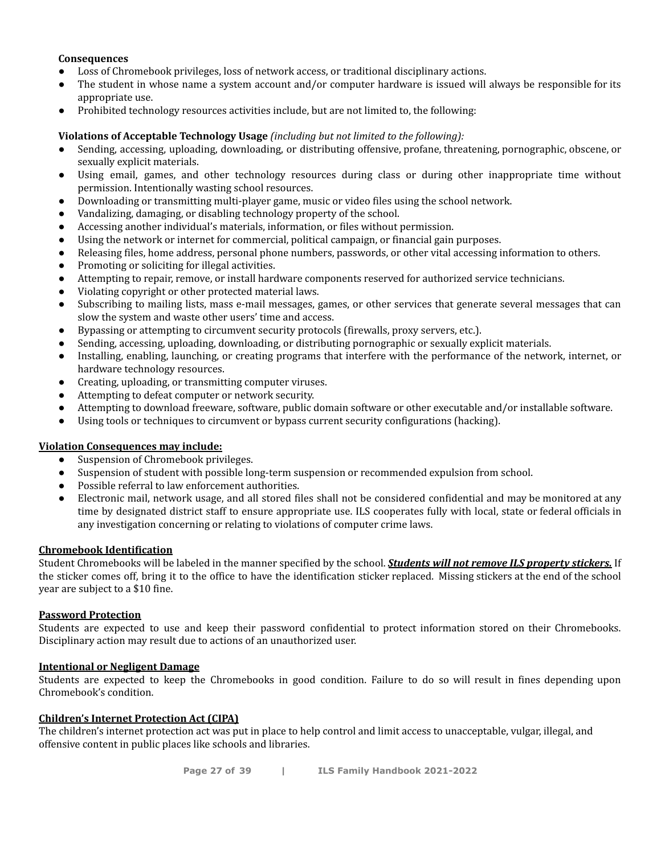#### **Consequences**

- Loss of Chromebook privileges, loss of network access, or traditional disciplinary actions.
- The student in whose name a system account and/or computer hardware is issued will always be responsible for its appropriate use.
- *●* Prohibited technology resources activities include, but are not limited to, the following:

#### **Violations of Acceptable Technology Usage** *(including but not limited to the following):*

- Sending, accessing, uploading, downloading, or distributing offensive, profane, threatening, pornographic, obscene, or sexually explicit materials.
- Using email, games, and other technology resources during class or during other inappropriate time without permission. Intentionally wasting school resources.
- Downloading or transmitting multi-player game, music or video files using the school network.
- Vandalizing, damaging, or disabling technology property of the school.
- Accessing another individual's materials, information, or files without permission.
- Using the network or internet for commercial, political campaign, or financial gain purposes.
- Releasing files, home address, personal phone numbers, passwords, or other vital accessing information to others.
- Promoting or soliciting for illegal activities.
- Attempting to repair, remove, or install hardware components reserved for authorized service technicians.
- Violating copyright or other protected material laws.
- Subscribing to mailing lists, mass e-mail messages, games, or other services that generate several messages that can slow the system and waste other users' time and access.
- Bypassing or attempting to circumvent security protocols (firewalls, proxy servers, etc.).
- Sending, accessing, uploading, downloading, or distributing pornographic or sexually explicit materials.
- Installing, enabling, launching, or creating programs that interfere with the performance of the network, internet, or hardware technology resources.
- Creating, uploading, or transmitting computer viruses.
- Attempting to defeat computer or network security.
- Attempting to download freeware, software, public domain software or other executable and/or installable software.
- Using tools or techniques to circumvent or bypass current security configurations (hacking).

#### **Violation Consequences may include:**

- Suspension of Chromebook privileges.
- Suspension of student with possible long-term suspension or recommended expulsion from school.
- Possible referral to law enforcement authorities.
- Electronic mail, network usage, and all stored files shall not be considered confidential and may be monitored at any time by designated district staff to ensure appropriate use. ILS cooperates fully with local, state or federal officials in any investigation concerning or relating to violations of computer crime laws.

#### **Chromebook Identification**

Student Chromebooks will be labeled in the manner specified by the school. *Students will not remove ILS property stickers.* If the sticker comes off, bring it to the office to have the identification sticker replaced. Missing stickers at the end of the school year are subject to a \$10 fine.

#### **Password Protection**

Students are expected to use and keep their password confidential to protect information stored on their Chromebooks. Disciplinary action may result due to actions of an unauthorized user.

#### **Intentional or Negligent Damage**

Students are expected to keep the Chromebooks in good condition. Failure to do so will result in fines depending upon Chromebook's condition.

#### **Children's Internet Protection Act (CIPA)**

The children's internet protection act was put in place to help control and limit access to unacceptable, vulgar, illegal, and offensive content in public places like schools and libraries.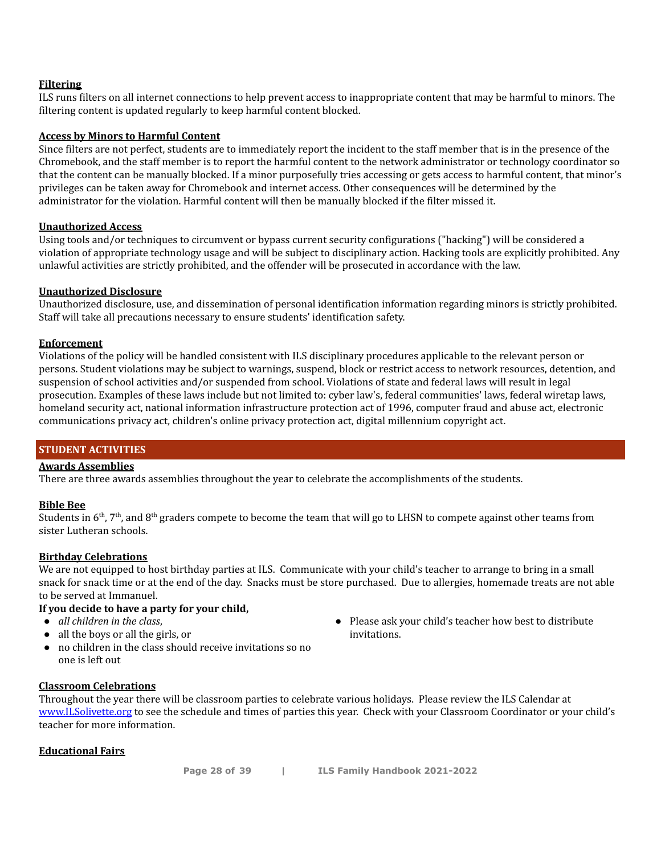#### **Filtering**

ILS runs filters on all internet connections to help prevent access to inappropriate content that may be harmful to minors. The filtering content is updated regularly to keep harmful content blocked.

#### **Access by Minors to Harmful Content**

Since filters are not perfect, students are to immediately report the incident to the staff member that is in the presence of the Chromebook, and the staff member is to report the harmful content to the network administrator or technology coordinator so that the content can be manually blocked. If a minor purposefully tries accessing or gets access to harmful content, that minor's privileges can be taken away for Chromebook and internet access. Other consequences will be determined by the administrator for the violation. Harmful content will then be manually blocked if the filter missed it.

#### **Unauthorized Access**

Using tools and/or techniques to circumvent or bypass current security configurations ("hacking") will be considered a violation of appropriate technology usage and will be subject to disciplinary action. Hacking tools are explicitly prohibited. Any unlawful activities are strictly prohibited, and the offender will be prosecuted in accordance with the law.

#### **Unauthorized Disclosure**

Unauthorized disclosure, use, and dissemination of personal identification information regarding minors is strictly prohibited. Staff will take all precautions necessary to ensure students' identification safety.

#### **Enforcement**

Violations of the policy will be handled consistent with ILS disciplinary procedures applicable to the relevant person or persons. Student violations may be subject to warnings, suspend, block or restrict access to network resources, detention, and suspension of school activities and/or suspended from school. Violations of state and federal laws will result in legal prosecution. Examples of these laws include but not limited to: cyber law's, federal communities' laws, federal wiretap laws, homeland security act, national information infrastructure protection act of 1996, computer fraud and abuse act, electronic communications privacy act, children's online privacy protection act, digital millennium copyright act.

#### **STUDENT ACTIVITIES**

#### **Awards Assemblies**

There are three awards assemblies throughout the year to celebrate the accomplishments of the students.

#### **Bible Bee**

Students in 6<sup>th</sup>, 7<sup>th</sup>, and 8<sup>th</sup> graders compete to become the team that will go to LHSN to compete against other teams from sister Lutheran schools.

#### **Birthday Celebrations**

We are not equipped to host birthday parties at ILS. Communicate with your child's teacher to arrange to bring in a small snack for snack time or at the end of the day. Snacks must be store purchased. Due to allergies, homemade treats are not able to be served at Immanuel.

#### **If you decide to have a party for your child,**

- *all children in the class*,
- all the boys or all the girls, or
- no children in the class should receive invitations so no one is left out

#### **Classroom Celebrations**

Throughout the year there will be classroom parties to celebrate various holidays. Please review the ILS Calendar at [www.ILSolivette.org](http://www.ilsolivette.org) to see the schedule and times of parties this year. Check with your Classroom Coordinator or your child's teacher for more information.

#### **Educational Fairs**

● Please ask your child's teacher how best to distribute invitations.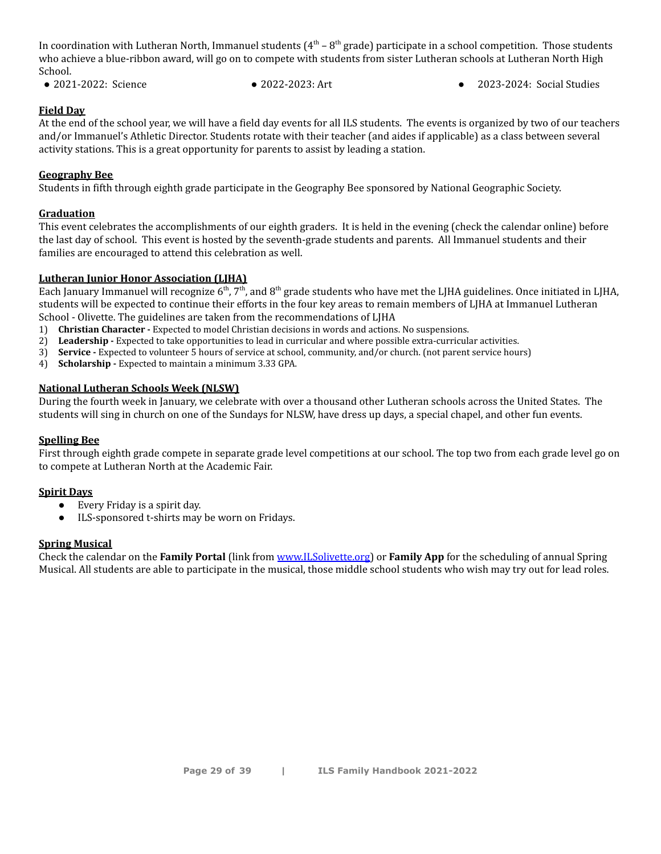In coordination with Lutheran North, Immanuel students ( $4^{\rm th}$  –  $8^{\rm th}$  grade) participate in a school competition. Those students who achieve a blue-ribbon award, will go on to compete with students from sister Lutheran schools at Lutheran North High School.

- 2021-2022: Science 2022-2023: Art 2023-2024: Social Studies
	-

#### **Field Day**

At the end of the school year, we will have a field day events for all ILS students. The events is organized by two of our teachers and/or Immanuel's Athletic Director. Students rotate with their teacher (and aides if applicable) as a class between several activity stations. This is a great opportunity for parents to assist by leading a station.

#### **Geography Bee**

Students in fifth through eighth grade participate in the Geography Bee sponsored by National Geographic Society.

#### **Graduation**

This event celebrates the accomplishments of our eighth graders. It is held in the evening (check the calendar online) before the last day of school. This event is hosted by the seventh-grade students and parents. All Immanuel students and their families are encouraged to attend this celebration as well.

#### **Lutheran Junior Honor Association (LJHA)**

Each January Immanuel will recognize 6<sup>th</sup>, 7<sup>th</sup>, and 8<sup>th</sup> grade students who have met the LJHA guidelines. Once initiated in LJHA, students will be expected to continue their efforts in the four key areas to remain members of LJHA at Immanuel Lutheran School - Olivette. The guidelines are taken from the recommendations of LJHA

- 1) **Christian Character -** Expected to model Christian decisions in words and actions. No suspensions.
- 2) **Leadership -** Expected to take opportunities to lead in curricular and where possible extra-curricular activities.
- 3) **Service -** Expected to volunteer 5 hours of service at school, community, and/or church. (not parent service hours)
- 4) **Scholarship -** Expected to maintain a minimum 3.33 GPA.

#### **National Lutheran Schools Week (NLSW)**

During the fourth week in January, we celebrate with over a thousand other Lutheran schools across the United States. The students will sing in church on one of the Sundays for NLSW, have dress up days, a special chapel, and other fun events.

#### **Spelling Bee**

First through eighth grade compete in separate grade level competitions at our school. The top two from each grade level go on to compete at Lutheran North at the Academic Fair.

#### **Spirit Days**

- Every Friday is a spirit day.
- ILS-sponsored t-shirts may be worn on Fridays.

#### **Spring Musical**

Check the calendar on the **Family Portal** (link from [www.ILSolivette.org\)](http://www.ilsolivette.org) or **Family App** for the scheduling of annual Spring Musical. All students are able to participate in the musical, those middle school students who wish may try out for lead roles.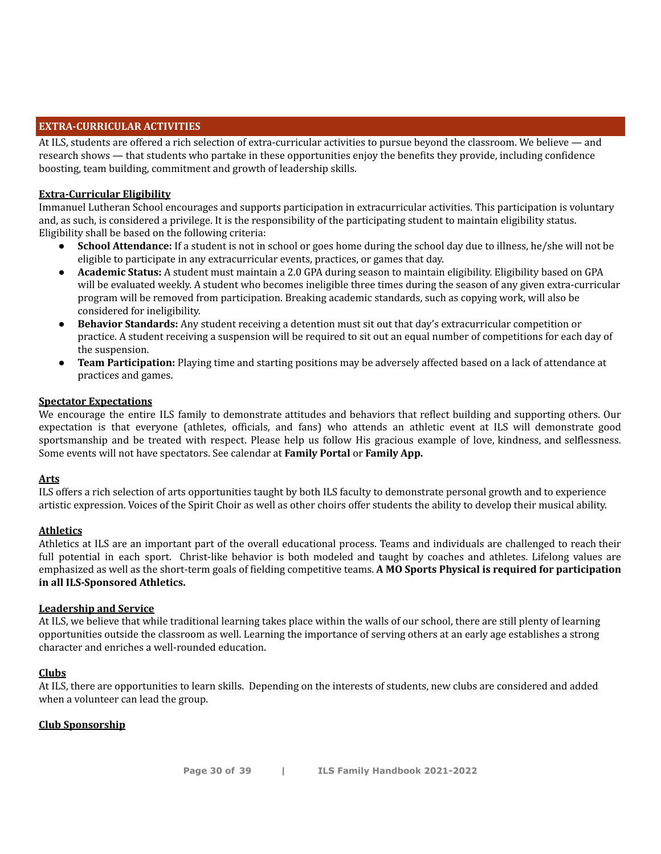#### **EXTRA-CURRICULAR ACTIVITIES**

At ILS, students are offered a rich selection of extra-curricular activities to pursue beyond the classroom. We believe — and research shows — that students who partake in these opportunities enjoy the benefits they provide, including confidence boosting, team building, commitment and growth of leadership skills.

#### **Extra-Curricular Eligibility**

Immanuel Lutheran School encourages and supports participation in extracurricular activities. This participation is voluntary and, as such, is considered a privilege. It is the responsibility of the participating student to maintain eligibility status. Eligibility shall be based on the following criteria:

- **School Attendance:** If a student is not in school or goes home during the school day due to illness, he/she will not be eligible to participate in any extracurricular events, practices, or games that day.
- **Academic Status:** A student must maintain a 2.0 GPA during season to maintain eligibility. Eligibility based on GPA will be evaluated weekly. A student who becomes ineligible three times during the season of any given extra-curricular program will be removed from participation. Breaking academic standards, such as copying work, will also be considered for ineligibility.
- **Behavior Standards:** Any student receiving a detention must sit out that day's extracurricular competition or practice. A student receiving a suspension will be required to sit out an equal number of competitions for each day of the suspension.
- **Team Participation:** Playing time and starting positions may be adversely affected based on a lack of attendance at practices and games.

#### **Spectator Expectations**

We encourage the entire ILS family to demonstrate attitudes and behaviors that reflect building and supporting others. Our expectation is that everyone (athletes, officials, and fans) who attends an athletic event at ILS will demonstrate good sportsmanship and be treated with respect. Please help us follow His gracious example of love, kindness, and selflessness. Some events will not have spectators. See calendar at **Family Portal** or **Family App.**

#### **Arts**

ILS offers a rich selection of arts opportunities taught by both ILS faculty to demonstrate personal growth and to experience artistic expression. Voices of the Spirit Choir as well as other choirs offer students the ability to develop their musical ability.

#### **Athletics**

Athletics at ILS are an important part of the overall educational process. Teams and individuals are challenged to reach their full potential in each sport. Christ-like behavior is both modeled and taught by coaches and athletes. Lifelong values are emphasized as well as the short-term goals of fielding competitive teams. **A MO Sports Physical is required for participation in all ILS-Sponsored Athletics.**

#### **Leadership and Service**

At ILS, we believe that while traditional learning takes place within the walls of our school, there are still plenty of learning opportunities outside the classroom as well. Learning the importance of serving others at an early age establishes a strong character and enriches a well-rounded education.

#### **Clubs**

At ILS, there are opportunities to learn skills. Depending on the interests of students, new clubs are considered and added when a volunteer can lead the group.

#### **Club Sponsorship**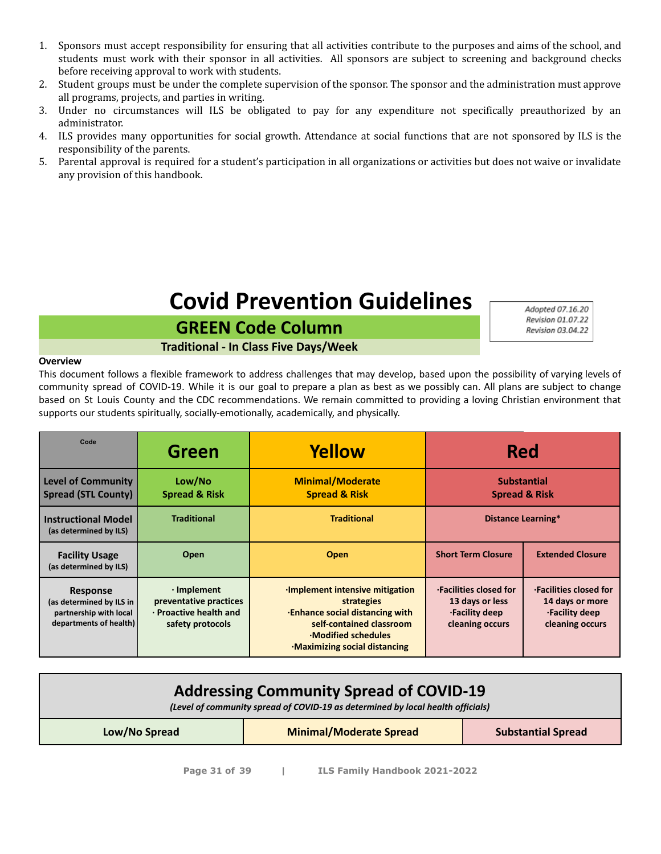- 1. Sponsors must accept responsibility for ensuring that all activities contribute to the purposes and aims of the school, and students must work with their sponsor in all activities. All sponsors are subject to screening and background checks before receiving approval to work with students.
- 2. Student groups must be under the complete supervision of the sponsor. The sponsor and the administration must approve all programs, projects, and parties in writing.
- 3. Under no circumstances will ILS be obligated to pay for any expenditure not specifically preauthorized by an administrator.
- 4. ILS provides many opportunities for social growth. Attendance at social functions that are not sponsored by ILS is the responsibility of the parents.
- 5. Parental approval is required for a student's participation in all organizations or activities but does not waive or invalidate any provision of this handbook.

# **Covid Prevention Guidelines**

**GREEN Code Column Traditional - In Class Five Days/Week** Adopted 07.16.20 Revision 01.07.22 Revision 03.04.22

#### **Overview**

This document follows a flexible framework to address challenges that may develop, based upon the possibility of varying levels of community spread of COVID-19. While it is our goal to prepare a plan as best as we possibly can. All plans are subject to change based on St Louis County and the CDC recommendations. We remain committed to providing a loving Christian environment that supports our students spiritually, socially-emotionally, academically, and physically.

| Code                                                                                            | Green                                                                                     | Yellow                                                                                                                                                                                  | <b>Red</b>                                                                     |                                                                                       |
|-------------------------------------------------------------------------------------------------|-------------------------------------------------------------------------------------------|-----------------------------------------------------------------------------------------------------------------------------------------------------------------------------------------|--------------------------------------------------------------------------------|---------------------------------------------------------------------------------------|
| <b>Level of Community</b><br><b>Spread (STL County)</b>                                         | Low/No<br><b>Spread &amp; Risk</b>                                                        | <b>Minimal/Moderate</b><br><b>Spread &amp; Risk</b>                                                                                                                                     | <b>Substantial</b><br><b>Spread &amp; Risk</b>                                 |                                                                                       |
| <b>Instructional Model</b><br>(as determined by ILS)                                            | <b>Traditional</b>                                                                        | <b>Traditional</b>                                                                                                                                                                      |                                                                                | <b>Distance Learning*</b>                                                             |
| <b>Facility Usage</b><br>(as determined by ILS)                                                 | Open                                                                                      | Open                                                                                                                                                                                    | <b>Short Term Closure</b>                                                      | <b>Extended Closure</b>                                                               |
| <b>Response</b><br>(as determined by ILS in<br>partnership with local<br>departments of health) | $\cdot$ Implement<br>preventative practices<br>· Proactive health and<br>safety protocols | <b>Implement intensive mitigation</b><br>strategies<br><b>Enhance social distancing with</b><br>self-contained classroom<br><b>Modified schedules</b><br>. Maximizing social distancing | .Facilities closed for<br>13 days or less<br>·Facility deep<br>cleaning occurs | <b>·Facilities closed for</b><br>14 days or more<br>.Facility deep<br>cleaning occurs |

| <b>Addressing Community Spread of COVID-19</b><br>(Level of community spread of COVID-19 as determined by local health officials) |  |  |  |  |
|-----------------------------------------------------------------------------------------------------------------------------------|--|--|--|--|
| <b>Minimal/Moderate Spread</b><br><b>Substantial Spread</b><br>Low/No Spread                                                      |  |  |  |  |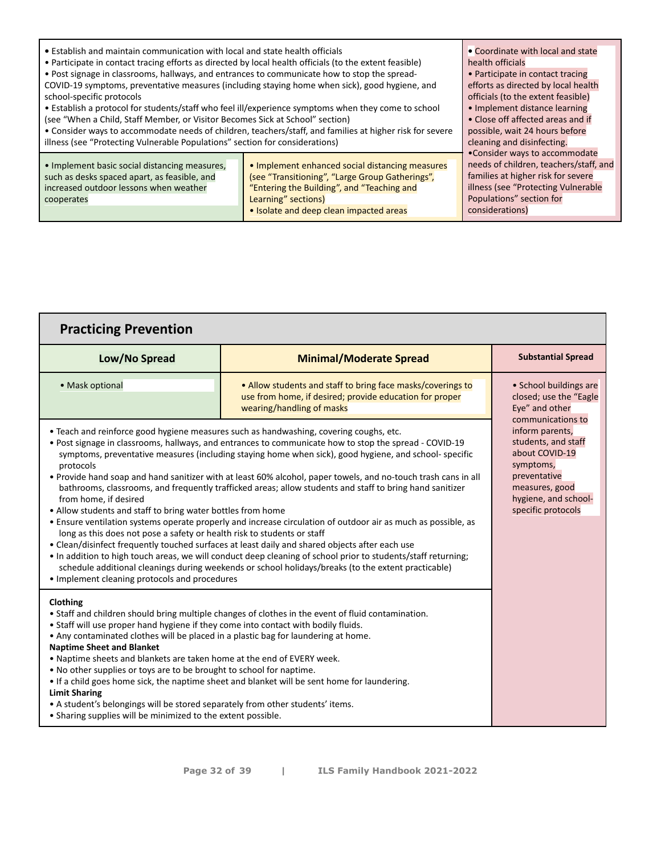| • Establish and maintain communication with local and state health officials                                                                          | • Coordinate with local and state                                                                                                                                                                                  |                                                                                                                                                                                                      |
|-------------------------------------------------------------------------------------------------------------------------------------------------------|--------------------------------------------------------------------------------------------------------------------------------------------------------------------------------------------------------------------|------------------------------------------------------------------------------------------------------------------------------------------------------------------------------------------------------|
| • Participate in contact tracing efforts as directed by local health officials (to the extent feasible)                                               | health officials                                                                                                                                                                                                   |                                                                                                                                                                                                      |
| . Post signage in classrooms, hallways, and entrances to communicate how to stop the spread-                                                          | • Participate in contact tracing                                                                                                                                                                                   |                                                                                                                                                                                                      |
| COVID-19 symptoms, preventative measures (including staying home when sick), good hygiene, and                                                        | efforts as directed by local health                                                                                                                                                                                |                                                                                                                                                                                                      |
| school-specific protocols                                                                                                                             | officials (to the extent feasible)                                                                                                                                                                                 |                                                                                                                                                                                                      |
| • Establish a protocol for students/staff who feel ill/experience symptoms when they come to school                                                   | • Implement distance learning                                                                                                                                                                                      |                                                                                                                                                                                                      |
| (see "When a Child, Staff Member, or Visitor Becomes Sick at School" section)                                                                         | • Close off affected areas and if                                                                                                                                                                                  |                                                                                                                                                                                                      |
| • Consider ways to accommodate needs of children, teachers/staff, and families at higher risk for severe                                              | possible, wait 24 hours before                                                                                                                                                                                     |                                                                                                                                                                                                      |
| illness (see "Protecting Vulnerable Populations" section for considerations)                                                                          | cleaning and disinfecting.                                                                                                                                                                                         |                                                                                                                                                                                                      |
| • Implement basic social distancing measures,<br>such as desks spaced apart, as feasible, and<br>increased outdoor lessons when weather<br>cooperates | • Implement enhanced social distancing measures<br>(see "Transitioning", "Large Group Gatherings",<br>"Entering the Building", and "Teaching and<br>Learning" sections)<br>• Isolate and deep clean impacted areas | •Consider ways to accommodate<br>needs of children, teachers/staff, and<br>families at higher risk for severe<br>illness (see "Protecting Vulnerable"<br>Populations" section for<br>considerations) |

| <b>Practicing Prevention</b>                                                                                                                                                                                                                                                                                                                                                                                                                                                                                                                                                                                                                                                                                                                                                                                                                                                                                                                                                                                                                                                                                                                                                                                         |                                                                                                                                                     |                                                                                                                                                       |
|----------------------------------------------------------------------------------------------------------------------------------------------------------------------------------------------------------------------------------------------------------------------------------------------------------------------------------------------------------------------------------------------------------------------------------------------------------------------------------------------------------------------------------------------------------------------------------------------------------------------------------------------------------------------------------------------------------------------------------------------------------------------------------------------------------------------------------------------------------------------------------------------------------------------------------------------------------------------------------------------------------------------------------------------------------------------------------------------------------------------------------------------------------------------------------------------------------------------|-----------------------------------------------------------------------------------------------------------------------------------------------------|-------------------------------------------------------------------------------------------------------------------------------------------------------|
| Low/No Spread                                                                                                                                                                                                                                                                                                                                                                                                                                                                                                                                                                                                                                                                                                                                                                                                                                                                                                                                                                                                                                                                                                                                                                                                        | <b>Minimal/Moderate Spread</b>                                                                                                                      | <b>Substantial Spread</b>                                                                                                                             |
| • Mask optional                                                                                                                                                                                                                                                                                                                                                                                                                                                                                                                                                                                                                                                                                                                                                                                                                                                                                                                                                                                                                                                                                                                                                                                                      | • Allow students and staff to bring face masks/coverings to<br>use from home, if desired; provide education for proper<br>wearing/handling of masks | • School buildings are<br>closed; use the "Eagle"<br>Eye" and other<br>communications to                                                              |
| • Teach and reinforce good hygiene measures such as handwashing, covering coughs, etc.<br>• Post signage in classrooms, hallways, and entrances to communicate how to stop the spread - COVID-19<br>symptoms, preventative measures (including staying home when sick), good hygiene, and school- specific<br>protocols<br>• Provide hand soap and hand sanitizer with at least 60% alcohol, paper towels, and no-touch trash cans in all<br>bathrooms, classrooms, and frequently trafficked areas; allow students and staff to bring hand sanitizer<br>from home, if desired<br>• Allow students and staff to bring water bottles from home<br>• Ensure ventilation systems operate properly and increase circulation of outdoor air as much as possible, as<br>long as this does not pose a safety or health risk to students or staff<br>• Clean/disinfect frequently touched surfaces at least daily and shared objects after each use<br>. In addition to high touch areas, we will conduct deep cleaning of school prior to students/staff returning;<br>schedule additional cleanings during weekends or school holidays/breaks (to the extent practicable)<br>• Implement cleaning protocols and procedures |                                                                                                                                                     | inform parents,<br>students, and staff<br>about COVID-19<br>symptoms,<br>preventative<br>measures, good<br>hygiene, and school-<br>specific protocols |
| Clothing<br>• Staff and children should bring multiple changes of clothes in the event of fluid contamination.<br>• Staff will use proper hand hygiene if they come into contact with bodily fluids.<br>• Any contaminated clothes will be placed in a plastic bag for laundering at home.<br><b>Naptime Sheet and Blanket</b><br>. Naptime sheets and blankets are taken home at the end of EVERY week.<br>• No other supplies or toys are to be brought to school for naptime.<br>• If a child goes home sick, the naptime sheet and blanket will be sent home for laundering.<br><b>Limit Sharing</b><br>• A student's belongings will be stored separately from other students' items.<br>• Sharing supplies will be minimized to the extent possible.                                                                                                                                                                                                                                                                                                                                                                                                                                                           |                                                                                                                                                     |                                                                                                                                                       |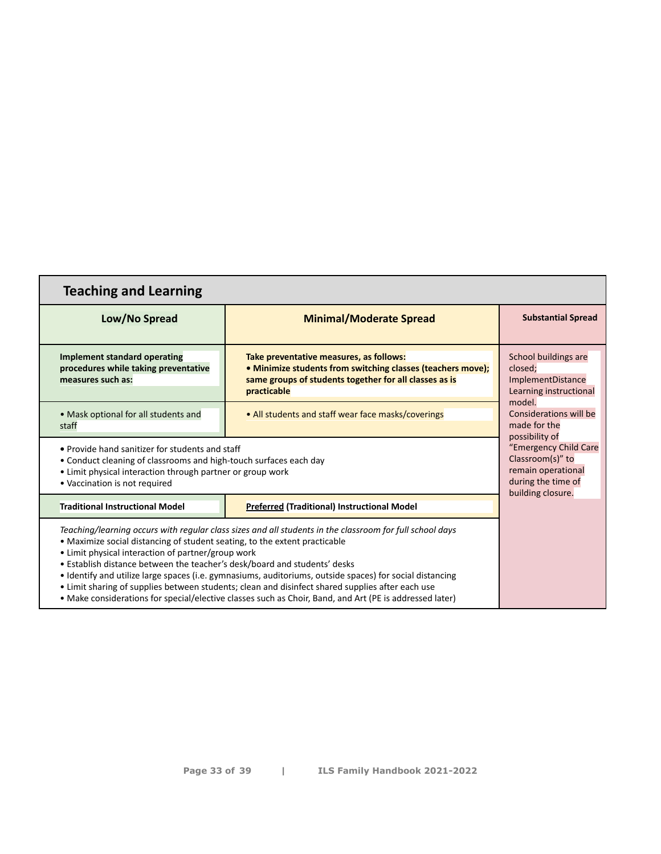| <b>Teaching and Learning</b>                                                                                                                                                                                                                                                                                                                                                                                                                                                                                                                                                                                                                         |                                                                                                                                                                                 |                                                                                          |  |
|------------------------------------------------------------------------------------------------------------------------------------------------------------------------------------------------------------------------------------------------------------------------------------------------------------------------------------------------------------------------------------------------------------------------------------------------------------------------------------------------------------------------------------------------------------------------------------------------------------------------------------------------------|---------------------------------------------------------------------------------------------------------------------------------------------------------------------------------|------------------------------------------------------------------------------------------|--|
| Low/No Spread                                                                                                                                                                                                                                                                                                                                                                                                                                                                                                                                                                                                                                        | <b>Minimal/Moderate Spread</b>                                                                                                                                                  | <b>Substantial Spread</b>                                                                |  |
| Implement standard operating<br>procedures while taking preventative<br>measures such as:                                                                                                                                                                                                                                                                                                                                                                                                                                                                                                                                                            | Take preventative measures, as follows:<br>. Minimize students from switching classes (teachers move);<br>same groups of students together for all classes as is<br>practicable | School buildings are<br>closed;<br>ImplementDistance<br>Learning instructional<br>model. |  |
| • Mask optional for all students and<br>staff                                                                                                                                                                                                                                                                                                                                                                                                                                                                                                                                                                                                        | Considerations will be<br>made for the<br>possibility of<br>"Emergency Child Care<br>Classroom(s)" to<br>remain operational<br>during the time of<br>building closure.          |                                                                                          |  |
| • Provide hand sanitizer for students and staff<br>• Conduct cleaning of classrooms and high-touch surfaces each day<br>• Limit physical interaction through partner or group work<br>• Vaccination is not required                                                                                                                                                                                                                                                                                                                                                                                                                                  |                                                                                                                                                                                 |                                                                                          |  |
| <b>Traditional Instructional Model</b>                                                                                                                                                                                                                                                                                                                                                                                                                                                                                                                                                                                                               | Preferred (Traditional) Instructional Model                                                                                                                                     |                                                                                          |  |
| Teaching/learning occurs with regular class sizes and all students in the classroom for full school days<br>• Maximize social distancing of student seating, to the extent practicable<br>• Limit physical interaction of partner/group work<br>• Establish distance between the teacher's desk/board and students' desks<br>• Identify and utilize large spaces (i.e. gymnasiums, auditoriums, outside spaces) for social distancing<br>• Limit sharing of supplies between students; clean and disinfect shared supplies after each use<br>• Make considerations for special/elective classes such as Choir, Band, and Art (PE is addressed later) |                                                                                                                                                                                 |                                                                                          |  |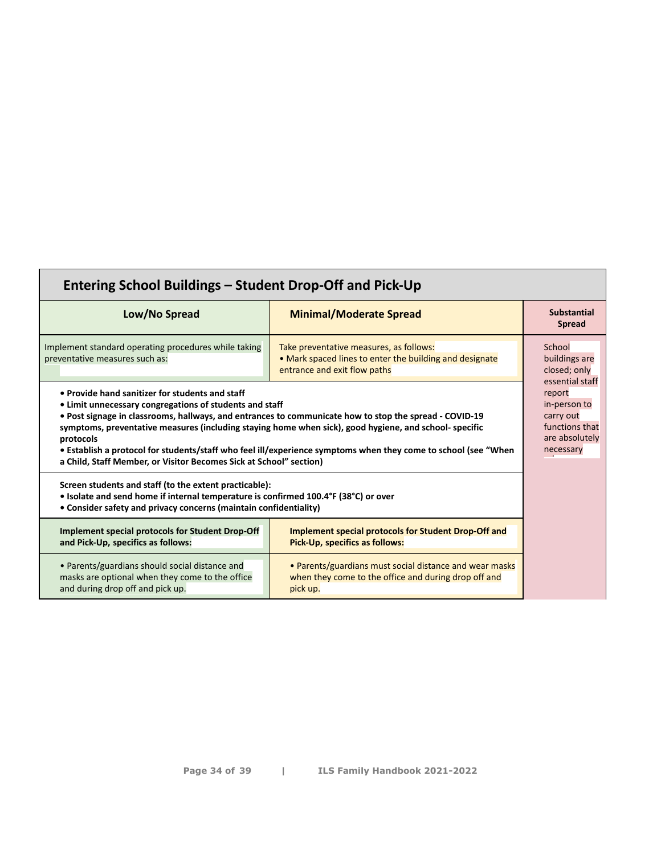| Entering School Buildings – Student Drop-Off and Pick-Up                                                                                                                                                                                                                                                                                                                                                                                                                                                                            |                                                                                                                                    |                                                                                      |  |
|-------------------------------------------------------------------------------------------------------------------------------------------------------------------------------------------------------------------------------------------------------------------------------------------------------------------------------------------------------------------------------------------------------------------------------------------------------------------------------------------------------------------------------------|------------------------------------------------------------------------------------------------------------------------------------|--------------------------------------------------------------------------------------|--|
| Low/No Spread                                                                                                                                                                                                                                                                                                                                                                                                                                                                                                                       | <b>Minimal/Moderate Spread</b>                                                                                                     | <b>Substantial</b><br><b>Spread</b>                                                  |  |
| Implement standard operating procedures while taking<br>preventative measures such as:                                                                                                                                                                                                                                                                                                                                                                                                                                              | Take preventative measures, as follows:<br>• Mark spaced lines to enter the building and designate<br>entrance and exit flow paths | School<br>buildings are<br>closed; only<br>essential staff                           |  |
| • Provide hand sanitizer for students and staff<br>• Limit unnecessary congregations of students and staff<br>• Post signage in classrooms, hallways, and entrances to communicate how to stop the spread - COVID-19<br>symptoms, preventative measures (including staying home when sick), good hygiene, and school- specific<br>protocols<br>• Establish a protocol for students/staff who feel ill/experience symptoms when they come to school (see "When<br>a Child, Staff Member, or Visitor Becomes Sick at School" section) |                                                                                                                                    | report<br>in-person to<br>carry out<br>functions that<br>are absolutely<br>necessary |  |
| Screen students and staff (to the extent practicable):<br>• Isolate and send home if internal temperature is confirmed 100.4°F (38°C) or over<br>• Consider safety and privacy concerns (maintain confidentiality)                                                                                                                                                                                                                                                                                                                  |                                                                                                                                    |                                                                                      |  |
| <b>Implement special protocols for Student Drop-Off</b><br>and Pick-Up, specifics as follows:                                                                                                                                                                                                                                                                                                                                                                                                                                       | <b>Implement special protocols for Student Drop-Off and</b><br>Pick-Up, specifics as follows:                                      |                                                                                      |  |
| • Parents/guardians should social distance and<br>masks are optional when they come to the office<br>and during drop off and pick up.                                                                                                                                                                                                                                                                                                                                                                                               | • Parents/guardians must social distance and wear masks<br>when they come to the office and during drop off and<br>pick up.        |                                                                                      |  |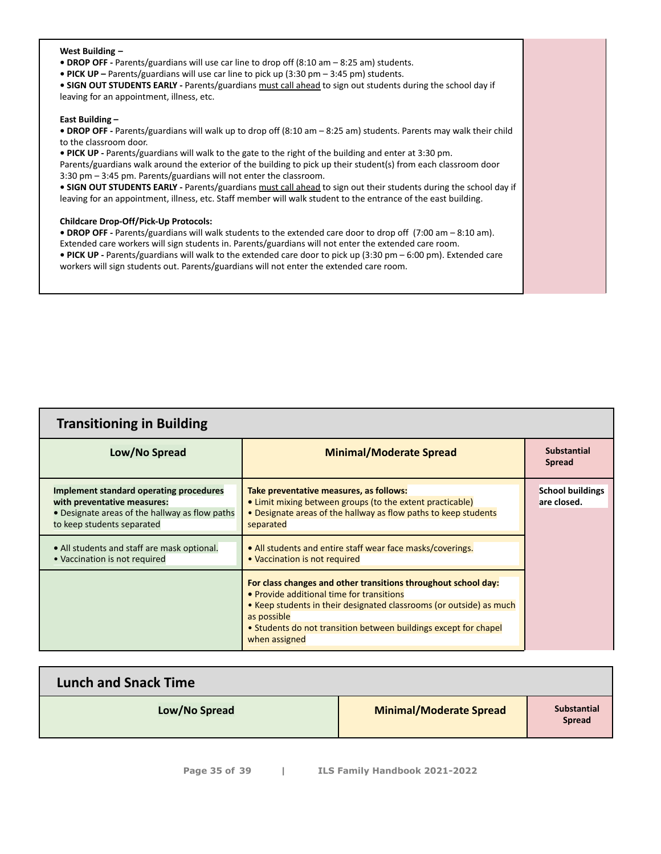#### **West Building –**

- **DROP OFF -** Parents/guardians will use car line to drop off (8:10 am 8:25 am) students.
- **PICK UP –** Parents/guardians will use car line to pick up (3:30 pm 3:45 pm) students.

**• SIGN OUT STUDENTS EARLY -** Parents/guardians must call ahead to sign out students during the school day if leaving for an appointment, illness, etc.

#### **East Building –**

**• DROP OFF -** Parents/guardians will walk up to drop off (8:10 am – 8:25 am) students. Parents may walk their child to the classroom door.

**• PICK UP -** Parents/guardians will walk to the gate to the right of the building and enter at 3:30 pm. Parents/guardians walk around the exterior of the building to pick up their student(s) from each classroom door 3:30 pm – 3:45 pm. Parents/guardians will not enter the classroom.

**• SIGN OUT STUDENTS EARLY -** Parents/guardians must call ahead to sign out their students during the school day if leaving for an appointment, illness, etc. Staff member will walk student to the entrance of the east building.

#### **Childcare Drop-Off/Pick-Up Protocols:**

**• DROP OFF -** Parents/guardians will walk students to the extended care door to drop off (7:00 am – 8:10 am).

Extended care workers will sign students in. Parents/guardians will not enter the extended care room. **• PICK UP -** Parents/guardians will walk to the extended care door to pick up (3:30 pm – 6:00 pm). Extended care

workers will sign students out. Parents/guardians will not enter the extended care room.

| <b>Transitioning in Building</b>                                                                                                                       |                                                                                                                                                                                                                                                                                        |                                        |  |
|--------------------------------------------------------------------------------------------------------------------------------------------------------|----------------------------------------------------------------------------------------------------------------------------------------------------------------------------------------------------------------------------------------------------------------------------------------|----------------------------------------|--|
| Low/No Spread                                                                                                                                          | <b>Minimal/Moderate Spread</b>                                                                                                                                                                                                                                                         | <b>Substantial</b><br><b>Spread</b>    |  |
| Implement standard operating procedures<br>with preventative measures:<br>• Designate areas of the hallway as flow paths<br>to keep students separated | Take preventative measures, as follows:<br>• Limit mixing between groups (to the extent practicable)<br>• Designate areas of the hallway as flow paths to keep students<br>separated                                                                                                   | <b>School buildings</b><br>are closed. |  |
| • All students and staff are mask optional.<br>• Vaccination is not required                                                                           | • All students and entire staff wear face masks/coverings.<br>• Vaccination is not required                                                                                                                                                                                            |                                        |  |
|                                                                                                                                                        | For class changes and other transitions throughout school day:<br>• Provide additional time for transitions<br>• Keep students in their designated classrooms (or outside) as much<br>as possible<br>• Students do not transition between buildings except for chapel<br>when assigned |                                        |  |

| <b>Lunch and Snack Time</b> |                                |                                     |
|-----------------------------|--------------------------------|-------------------------------------|
| Low/No Spread               | <b>Minimal/Moderate Spread</b> | <b>Substantial</b><br><b>Spread</b> |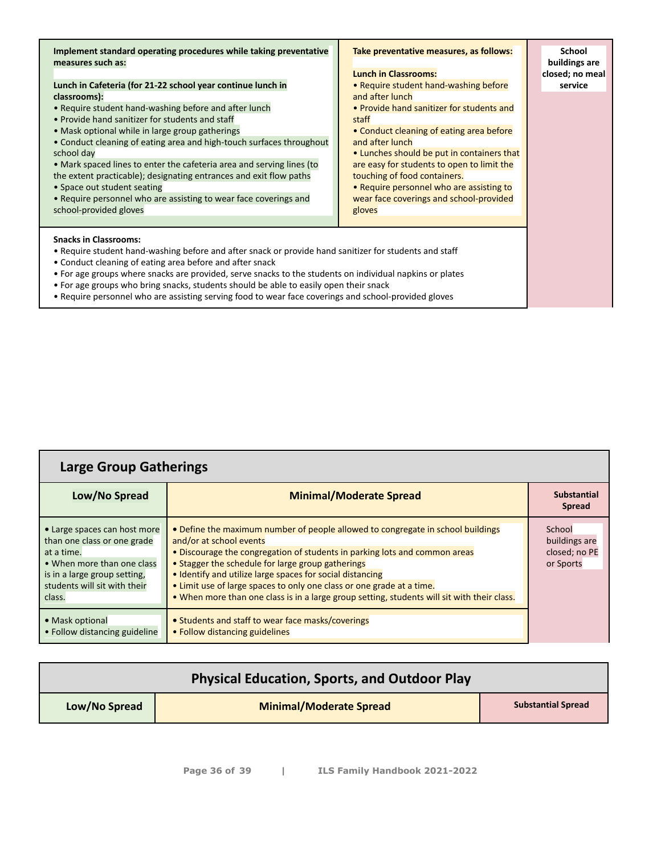| Implement standard operating procedures while taking preventative<br>measures such as:<br>Lunch in Cafeteria (for 21-22 school year continue lunch in<br>classrooms):<br>• Require student hand-washing before and after lunch<br>• Provide hand sanitizer for students and staff<br>• Mask optional while in large group gatherings<br>• Conduct cleaning of eating area and high-touch surfaces throughout<br>school day<br>• Mark spaced lines to enter the cafeteria area and serving lines (to<br>the extent practicable); designating entrances and exit flow paths<br>• Space out student seating<br>• Require personnel who are assisting to wear face coverings and<br>school-provided gloves | Take preventative measures, as follows:<br><b>Lunch in Classrooms:</b><br>• Require student hand-washing before<br>and after lunch<br>• Provide hand sanitizer for students and<br>staff<br>• Conduct cleaning of eating area before<br>and after lunch<br>• Lunches should be put in containers that<br>are easy for students to open to limit the<br>touching of food containers.<br>• Require personnel who are assisting to<br>wear face coverings and school-provided<br>gloves | <b>School</b><br>buildings are<br>closed; no meal<br>service |
|--------------------------------------------------------------------------------------------------------------------------------------------------------------------------------------------------------------------------------------------------------------------------------------------------------------------------------------------------------------------------------------------------------------------------------------------------------------------------------------------------------------------------------------------------------------------------------------------------------------------------------------------------------------------------------------------------------|--------------------------------------------------------------------------------------------------------------------------------------------------------------------------------------------------------------------------------------------------------------------------------------------------------------------------------------------------------------------------------------------------------------------------------------------------------------------------------------|--------------------------------------------------------------|
| <b>Snacks in Classrooms:</b><br>• Require student hand-washing before and after snack or provide hand sanitizer for students and staff<br>• Conduct cleaning of eating area before and after snack<br>• For age groups where snacks are provided, serve snacks to the students on individual napkins or plates<br>• For age groups who bring snacks, students should be able to easily open their snack<br>• Require personnel who are assisting serving food to wear face coverings and school-provided gloves                                                                                                                                                                                        |                                                                                                                                                                                                                                                                                                                                                                                                                                                                                      |                                                              |

| <b>Large Group Gatherings</b>                                                                                                                                                     |                                                                                                                                                                                                                                                                                                                                                                                                                                                                                    |                                                       |
|-----------------------------------------------------------------------------------------------------------------------------------------------------------------------------------|------------------------------------------------------------------------------------------------------------------------------------------------------------------------------------------------------------------------------------------------------------------------------------------------------------------------------------------------------------------------------------------------------------------------------------------------------------------------------------|-------------------------------------------------------|
| Low/No Spread                                                                                                                                                                     | <b>Minimal/Moderate Spread</b>                                                                                                                                                                                                                                                                                                                                                                                                                                                     | <b>Substantial</b><br><b>Spread</b>                   |
| • Large spaces can host more<br>than one class or one grade<br>at a time.<br>• When more than one class<br>is in a large group setting,<br>students will sit with their<br>class. | • Define the maximum number of people allowed to congregate in school buildings<br>and/or at school events<br>• Discourage the congregation of students in parking lots and common areas<br>• Stagger the schedule for large group gatherings<br>• Identify and utilize large spaces for social distancing<br>• Limit use of large spaces to only one class or one grade at a time.<br>. When more than one class is in a large group setting, students will sit with their class. | School<br>buildings are<br>closed; no PE<br>or Sports |
| • Mask optional<br>• Follow distancing guideline                                                                                                                                  | • Students and staff to wear face masks/coverings<br>• Follow distancing guidelines                                                                                                                                                                                                                                                                                                                                                                                                |                                                       |

| <b>Minimal/Moderate Spread</b><br>Low/No Spread | Physical Education, Sports, and Outdoor Play |                           |
|-------------------------------------------------|----------------------------------------------|---------------------------|
|                                                 |                                              | <b>Substantial Spread</b> |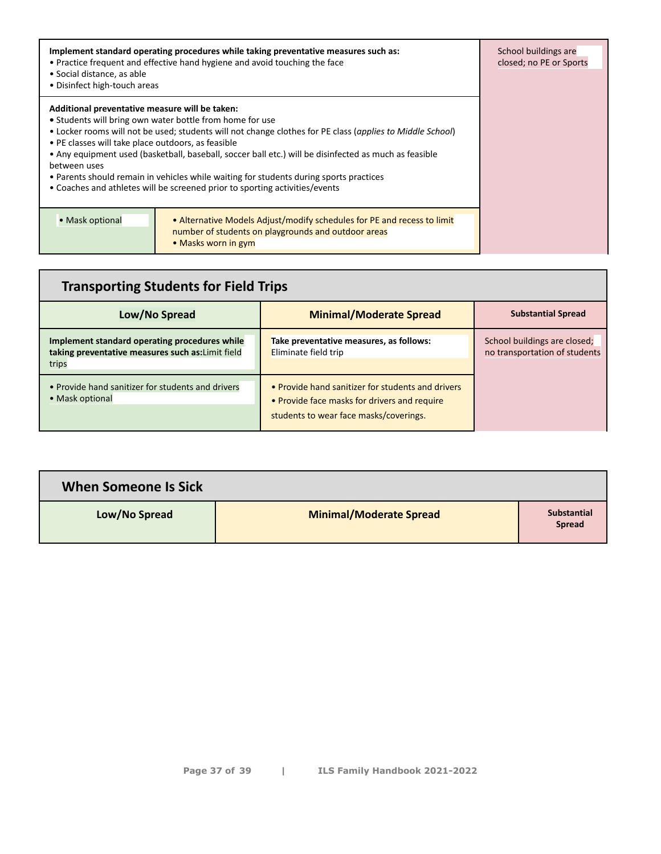| • Social distance, as able<br>• Disinfect high-touch areas                                                           | Implement standard operating procedures while taking preventative measures such as:<br>• Practice frequent and effective hand hygiene and avoid touching the face                                                                                                                                                                                                                                                                                       | School buildings are<br>closed; no PE or Sports |
|----------------------------------------------------------------------------------------------------------------------|---------------------------------------------------------------------------------------------------------------------------------------------------------------------------------------------------------------------------------------------------------------------------------------------------------------------------------------------------------------------------------------------------------------------------------------------------------|-------------------------------------------------|
| Additional preventative measure will be taken:<br>• PE classes will take place outdoors, as feasible<br>between uses | • Students will bring own water bottle from home for use<br>• Locker rooms will not be used; students will not change clothes for PE class (applies to Middle School)<br>• Any equipment used (basketball, baseball, soccer ball etc.) will be disinfected as much as feasible<br>• Parents should remain in vehicles while waiting for students during sports practices<br>• Coaches and athletes will be screened prior to sporting activities/events |                                                 |
| • Mask optional                                                                                                      | • Alternative Models Adjust/modify schedules for PE and recess to limit<br>number of students on playgrounds and outdoor areas<br>• Masks worn in gym                                                                                                                                                                                                                                                                                                   |                                                 |

| <b>Transporting Students for Field Trips</b>                                                                |                                                                                                                                             |                                                               |
|-------------------------------------------------------------------------------------------------------------|---------------------------------------------------------------------------------------------------------------------------------------------|---------------------------------------------------------------|
| Low/No Spread                                                                                               | <b>Minimal/Moderate Spread</b>                                                                                                              | <b>Substantial Spread</b>                                     |
| Implement standard operating procedures while<br>taking preventative measures such as: Limit field<br>trips | Take preventative measures, as follows:<br>Eliminate field trip                                                                             | School buildings are closed;<br>no transportation of students |
| • Provide hand sanitizer for students and drivers<br>• Mask optional                                        | • Provide hand sanitizer for students and drivers<br>• Provide face masks for drivers and require<br>students to wear face masks/coverings. |                                                               |

| When Someone Is Sick |                                |                                     |
|----------------------|--------------------------------|-------------------------------------|
| Low/No Spread        | <b>Minimal/Moderate Spread</b> | <b>Substantial</b><br><b>Spread</b> |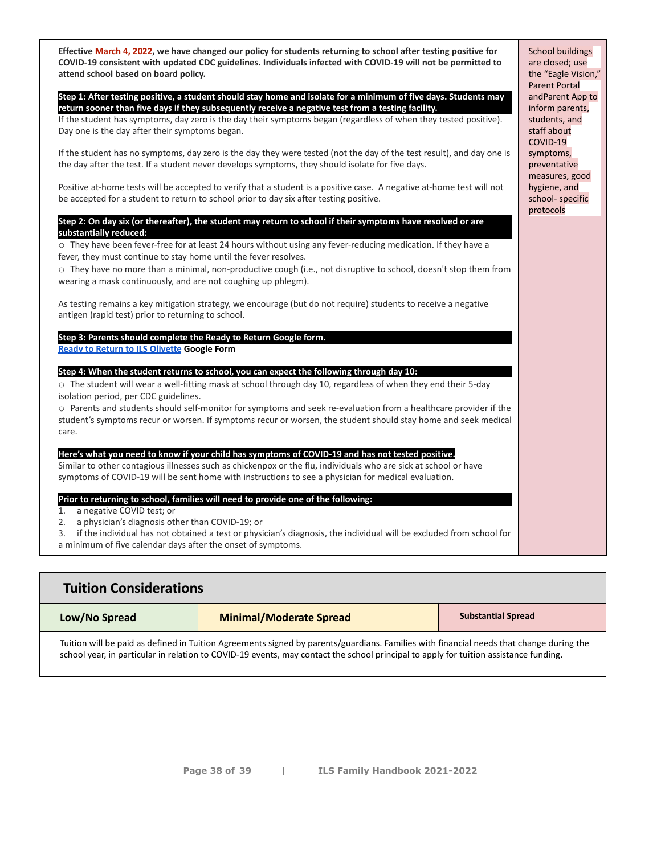**Effective March 4, 2022, we have changed our policy for students returning to school after testing positive for COVID-19 consistent with updated CDC guidelines. Individuals infected with COVID-19 will not be permitted to attend school based on board policy.**

**Step 1: After testing positive, a student should stay home and isolate for a minimum of five days. Students may return sooner than five days if they subsequently receive a negative test from a testing facility.**

If the student has symptoms, day zero is the day their symptoms began (regardless of when they tested positive). Day one is the day after their symptoms began.

If the student has no symptoms, day zero is the day they were tested (not the day of the test result), and day one is the day after the test. If a student never develops symptoms, they should isolate for five days.

Positive at-home tests will be accepted to verify that a student is a positive case. A negative at-home test will not be accepted for a student to return to school prior to day six after testing positive.

**Step 2: On day six (or thereafter), the student may return to school if their symptoms have resolved or are substantially reduced:**

o They have been fever-free for at least 24 hours without using any fever-reducing medication. If they have a fever, they must continue to stay home until the fever resolves.

o They have no more than a minimal, non-productive cough (i.e., not disruptive to school, doesn't stop them from wearing a mask continuously, and are not coughing up phlegm).

As testing remains a key mitigation strategy, we encourage (but do not require) students to receive a negative antigen (rapid test) prior to returning to school.

#### **Step 3: Parents should complete the Ready to Return Google form. [Ready to Return to ILS Olivette](https://forms.gle/16wVfPEvBT8TAjVY7) Google Form**

**Step 4: When the student returns to school, you can expect the following through day 10:**

o The student will wear a well-fitting mask at school through day 10, regardless of when they end their 5-day isolation period, per CDC guidelines.

o Parents and students should self-monitor for symptoms and seek re-evaluation from a healthcare provider if the student's symptoms recur or worsen. If symptoms recur or worsen, the student should stay home and seek medical care.

#### **Here's what you need to know if your child has symptoms of COVID-19 and has not tested positive.**

Similar to other contagious illnesses such as chickenpox or the flu, individuals who are sick at school or have symptoms of COVID-19 will be sent home with instructions to see a physician for medical evaluation.

#### **Prior to returning to school, families will need to provide one of the following:**

- 1. a negative COVID test; or
- 2. a physician's diagnosis other than COVID-19; or

3. if the individual has not obtained a test or physician's diagnosis, the individual will be excluded from school for

a minimum of five calendar days after the onset of symptoms.

| <b>Tuition Considerations</b>                                                                                                                                                                                                                                                   |  |  |  |
|---------------------------------------------------------------------------------------------------------------------------------------------------------------------------------------------------------------------------------------------------------------------------------|--|--|--|
| <b>Substantial Spread</b><br><b>Minimal/Moderate Spread</b><br>Low/No Spread                                                                                                                                                                                                    |  |  |  |
| Tuition will be paid as defined in Tuition Agreements signed by parents/guardians. Families with financial needs that change during the<br>school year, in particular in relation to COVID-19 events, may contact the school principal to apply for tuition assistance funding. |  |  |  |

School buildings are closed; use the "Eagle Vision," Parent Portal andParent App to inform parents, students, and staff about COVID-19 symptoms, preventative measures, good hygiene, and school- specific protocols